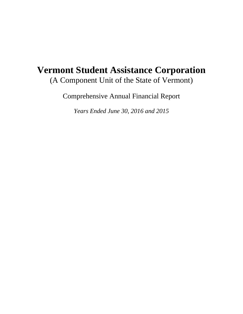# **Vermont Student Assistance Corporation**  (A Component Unit of the State of Vermont)

Comprehensive Annual Financial Report

*Years Ended June 30, 2016 and 2015*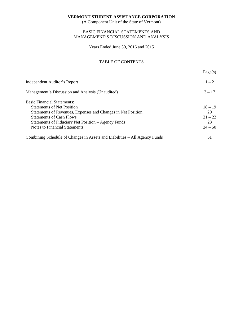(A Component Unit of the State of Vermont)

# BASIC FINANCIAL STATEMENTS AND MANAGEMENT'S DISCUSSION AND ANALYSIS

Years Ended June 30, 2016 and 2015

# TABLE OF CONTENTS

|                                                                            | Page(s)   |
|----------------------------------------------------------------------------|-----------|
| Independent Auditor's Report                                               | $1 - 2$   |
| Management's Discussion and Analysis (Unaudited)                           | $3 - 17$  |
| <b>Basic Financial Statements:</b>                                         |           |
| <b>Statements of Net Position</b>                                          | $18 - 19$ |
| Statements of Revenues, Expenses and Changes in Net Position               | 20        |
| <b>Statements of Cash Flows</b>                                            | $21 - 22$ |
| Statements of Fiduciary Net Position – Agency Funds                        | 23        |
| <b>Notes to Financial Statements</b>                                       | $24 - 50$ |
| Combining Schedule of Changes in Assets and Liabilities – All Agency Funds | 51        |
|                                                                            |           |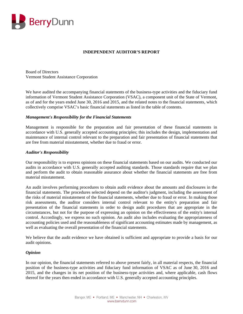

# **INDEPENDENT AUDITOR'S REPORT**

Board of Directors Vermont Student Assistance Corporation

We have audited the accompanying financial statements of the business-type activities and the fiduciary fund information of Vermont Student Assistance Corporation (VSAC), a component unit of the State of Vermont, as of and for the years ended June 30, 2016 and 2015, and the related notes to the financial statements, which collectively comprise VSAC's basic financial statements as listed in the table of contents.

#### *Management's Responsibility for the Financial Statements*

Management is responsible for the preparation and fair presentation of these financial statements in accordance with U.S. generally accepted accounting principles; this includes the design, implementation and maintenance of internal control relevant to the preparation and fair presentation of financial statements that are free from material misstatement, whether due to fraud or error.

#### *Auditor's Responsibility*

Our responsibility is to express opinions on these financial statements based on our audits. We conducted our audits in accordance with U.S. generally accepted auditing standards. Those standards require that we plan and perform the audit to obtain reasonable assurance about whether the financial statements are free from material misstatement.

An audit involves performing procedures to obtain audit evidence about the amounts and disclosures in the financial statements. The procedures selected depend on the auditor's judgment, including the assessment of the risks of material misstatement of the financial statements, whether due to fraud or error. In making those risk assessments, the auditor considers internal control relevant to the entity's preparation and fair presentation of the financial statements in order to design audit procedures that are appropriate in the circumstances, but not for the purpose of expressing an opinion on the effectiveness of the entity's internal control. Accordingly, we express no such opinion. An audit also includes evaluating the appropriateness of accounting policies used and the reasonableness of significant accounting estimates made by management, as well as evaluating the overall presentation of the financial statements.

We believe that the audit evidence we have obtained is sufficient and appropriate to provide a basis for our audit opinions.

#### *Opinion*

In our opinion, the financial statements referred to above present fairly, in all material respects, the financial position of the business-type activities and fiduciary fund information of VSAC as of June 30, 2016 and 2015, and the changes in its net position of the business-type activities and, where applicable, cash flows thereof for the years then ended in accordance with U.S. generally accepted accounting principles.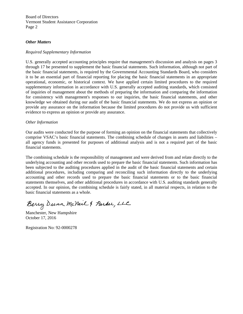Board of Directors Vermont Student Assistance Corporation Page 2

## *Other Matters*

#### *Required Supplementary Information*

U.S. generally accepted accounting principles require that management's discussion and analysis on pages 3 through 17 be presented to supplement the basic financial statements. Such information, although not part of the basic financial statements, is required by the Governmental Accounting Standards Board, who considers it to be an essential part of financial reporting for placing the basic financial statements in an appropriate operational, economic, or historical context. We have applied certain limited procedures to the required supplementary information in accordance with U.S. generally accepted auditing standards, which consisted of inquiries of management about the methods of preparing the information and comparing the information for consistency with management's responses to our inquiries, the basic financial statements, and other knowledge we obtained during our audit of the basic financial statements. We do not express an opinion or provide any assurance on the information because the limited procedures do not provide us with sufficient evidence to express an opinion or provide any assurance.

#### *Other Information*

Our audits were conducted for the purpose of forming an opinion on the financial statements that collectively comprise VSAC's basic financial statements. The combining schedule of changes in assets and liabilities – all agency funds is presented for purposes of additional analysis and is not a required part of the basic financial statements.

The combining schedule is the responsibility of management and were derived from and relate directly to the underlying accounting and other records used to prepare the basic financial statements. Such information has been subjected to the auditing procedures applied in the audit of the basic financial statements and certain additional procedures, including comparing and reconciling such information directly to the underlying accounting and other records used to prepare the basic financial statements or to the basic financial statements themselves, and other additional procedures in accordance with U.S. auditing standards generally accepted. In our opinion, the combining schedule is fairly stated, in all material respects, in relation to the basic financial statements as a whole.

Berry Dunn McNeil & Parker, LLC

October 17, 2016

Registration No: 92-0000278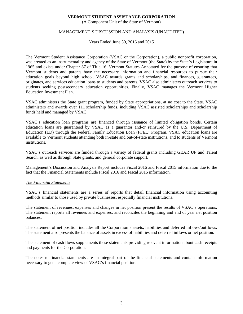(A Component Unit of the State of Vermont)

# MANAGEMENT'S DISCUSSION AND ANALYSIS (UNAUDITED)

Years Ended June 30, 2016 and 2015

The Vermont Student Assistance Corporation (VSAC or the Corporation), a public nonprofit corporation, was created as an instrumentality and agency of the State of Vermont (the State) by the State's Legislature in 1965 and exists under Chapter 87 of Title 16, Vermont Statutes Annotated for the purpose of ensuring that Vermont students and parents have the necessary information and financial resources to pursue their education goals beyond high school. VSAC awards grants and scholarships, and finances, guarantees, originates, and services education loans to students and parents. VSAC also administers outreach services to students seeking postsecondary education opportunities. Finally, VSAC manages the Vermont Higher Education Investment Plan.

VSAC administers the State grant program, funded by State appropriations, at no cost to the State. VSAC administers and awards over 111 scholarship funds, including VSAC assisted scholarships and scholarship funds held and managed by VSAC.

VSAC's education loan programs are financed through issuance of limited obligation bonds. Certain education loans are guaranteed by VSAC as a guarantor and/or reinsured by the U.S. Department of Education (ED) through the Federal Family Education Loan (FFEL) Program. VSAC education loans are available to Vermont students attending both in-state and out-of-state institutions, and to students of Vermont institutions.

VSAC's outreach services are funded through a variety of federal grants including GEAR UP and Talent Search, as well as through State grants, and general corporate support.

Management's Discussion and Analysis Report includes Fiscal 2016 and Fiscal 2015 information due to the fact that the Financial Statements include Fiscal 2016 and Fiscal 2015 information.

#### *The Financial Statements*

VSAC's financial statements are a series of reports that detail financial information using accounting methods similar to those used by private businesses, especially financial institutions.

The statement of revenues, expenses and changes in net position present the results of VSAC's operations. The statement reports all revenues and expenses, and reconciles the beginning and end of year net position balances.

The statement of net position includes all the Corporation's assets, liabilities and deferred inflows/outflows. The statement also presents the balance of assets in excess of liabilities and deferred inflows or net position.

The statement of cash flows supplements these statements providing relevant information about cash receipts and payments for the Corporation.

The notes to financial statements are an integral part of the financial statements and contain information necessary to get a complete view of VSAC's financial position.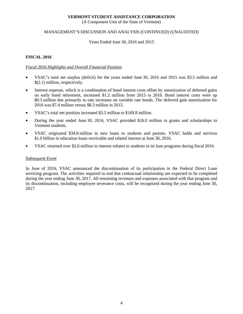(A Component Unit of the State of Vermont)

# MANAGEMENT'S DISCUSSION AND ANALYSIS (CONTINUED) (UNAUDITED)

#### Years Ended June 30, 2016 and 2015

## **FISCAL 2016**

## *Fiscal 2016 Highlights and Overall Financial Position*

- VSAC's total net surplus (deficit) for the years ended June 30, 2016 and 2015 was \$3.5 million and \$(2.1) million, respectively.
- Interest expense, which is a combination of bond interest costs offset by amortization of deferred gains on early bond retirement, increased \$1.2 million from 2015 to 2016. Bond interest costs were up \$0.3 million due primarily to rate increases on variable rate bonds. The deferred gain amortization for 2016 was \$7.4 million versus \$8.3 million in 2015.
- VSAC's total net position increased \$3.5 million to \$169.8 million.
- During the year ended June 30, 2016, VSAC provided \$26.0 million in grants and scholarships to Vermont students.
- VSAC originated \$34.8 million in new loans to students and parents. VSAC holds and services \$1.0 billion in education loans receivable and related interest at June 30, 2016.
- VSAC returned over \$2.6 million in interest rebates to students in its loan programs during fiscal 2016.

#### *Subsequent Event*

In June of 2016, VSAC announced the discontinuation of its participation in the Federal Direct Loan servicing program. The activities required to end that contractual relationship are expected to be completed during the year ending June 30, 2017. All remaining revenues and expenses associated with that program and its discontinuation, including employee severance costs, will be recognized during the year ending June 30, 2017.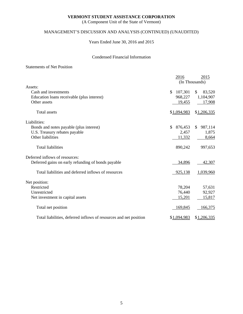(A Component Unit of the State of Vermont)

# MANAGEMENT'S DISCUSSION AND ANALYSIS (CONTINUED) (UNAUDITED)

Years Ended June 30, 2016 and 2015

# Condensed Financial Information

# Statements of Net Position

|                                                                   | 2016<br>(In Thousands) | 2015           |
|-------------------------------------------------------------------|------------------------|----------------|
| Assets:                                                           |                        |                |
| Cash and investments                                              | 107,301<br>\$          | \$<br>83,520   |
| Education loans receivable (plus interest)                        | 968,227                | 1,104,907      |
| Other assets                                                      | 19,455                 | 17,908         |
| <b>Total assets</b>                                               | \$1,094,983            | \$1,206,335    |
| Liabilities:                                                      |                        |                |
| Bonds and notes payable (plus interest)                           | 876,453<br>\$.         | 987,114<br>\$. |
| U.S. Treasury rebates payable                                     | 2,457                  | 1,875          |
| Other liabilities                                                 | 11,332                 | 8,664          |
| <b>Total liabilities</b>                                          | 890,242                | 997,653        |
| Deferred inflows of resources:                                    |                        |                |
| Deferred gains on early refunding of bonds payable                | 34,896                 | 42,307         |
| Total liabilities and deferred inflows of resources               | 925,138                | 1,039,960      |
| Net position:                                                     |                        |                |
| Restricted                                                        | 78,204                 | 57,631         |
| Unrestricted                                                      | 76,440                 | 92,927         |
| Net investment in capital assets                                  | 15,201                 | 15,817         |
| Total net position                                                | 169,845                | 166,375        |
| Total liabilities, deferred inflows of resources and net position | \$1,094,983            | \$1,206,335    |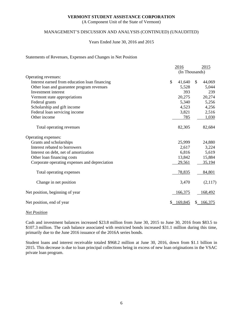(A Component Unit of the State of Vermont)

# MANAGEMENT'S DISCUSSION AND ANALYSIS (CONTINUED) (UNAUDITED)

#### Years Ended June 30, 2016 and 2015

#### Statements of Revenues, Expenses and Changes in Net Position

|                                               | 2016 |                | 2015 |         |
|-----------------------------------------------|------|----------------|------|---------|
|                                               |      | (In Thousands) |      |         |
| Operating revenues:                           |      |                |      |         |
| Interest earned from education loan financing | \$   | 41,640         | \$   | 44,069  |
| Other loan and guarantee program revenues     |      | 5,528          |      | 5,044   |
| Investment interest                           |      | 393            |      | 239     |
| Vermont state appropriations                  |      | 20,275         |      | 20,274  |
| Federal grants                                |      | 5,340          |      | 5,256   |
| Scholarship and gift income                   |      | 4,523          |      | 4,256   |
| Federal loan servicing income                 |      | 3,821          |      | 2,516   |
| Other income                                  |      | 785            |      | 1,030   |
| Total operating revenues                      |      | 82,305         |      | 82,684  |
| Operating expenses:                           |      |                |      |         |
| Grants and scholarships                       |      | 25,999         |      | 24,880  |
| Interest rebated to borrowers                 |      | 2,617          |      | 3,224   |
| Interest on debt, net of amortization         |      | 6,816          |      | 5,619   |
| Other loan financing costs                    |      | 13,842         |      | 15,884  |
| Corporate operating expenses and depreciation |      | 29,561         |      | 35,194  |
| Total operating expenses                      |      | 78,835         |      | 84,801  |
| Change in net position                        |      | 3,470          |      | (2,117) |
| Net position, beginning of year               |      | 166,375        |      | 168,492 |
| Net position, end of year                     |      | 169,845        | S.   | 166,375 |

#### *Net Position*

Cash and investment balances increased \$23.8 million from June 30, 2015 to June 30, 2016 from \$83.5 to \$107.3 million. The cash balance associated with restricted bonds increased \$31.1 million during this time, primarily due to the June 2016 issuance of the 2016A series bonds.

Student loans and interest receivable totaled \$968.2 million at June 30, 2016, down from \$1.1 billion in 2015. This decrease is due to loan principal collections being in excess of new loan originations in the VSAC private loan program.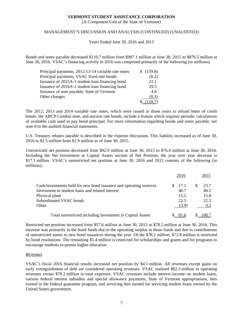(A Component Unit of the State of Vermont)

# MANAGEMENT'S DISCUSSION AND ANALYSIS (CONTINUED) (UNAUDITED)

Years Ended June 30, 2016 and 2015

Bonds and notes payable decreased \$110.7 million from \$987.1 million at June 30, 2015 to \$876.5 million at June 30, 2016. VSAC's financing activity in 2016 was comprised primarily of the following (in millions):

| Principal payments, 2012-13-14 variable rate notes | \$(159.8) |
|----------------------------------------------------|-----------|
| Principal payments, VSAC fixed rate bonds          | (6.2)     |
| Issuance of 2015A-1 student loan financing bond    | 22.1      |
| Issuance of 2016A-1 student loan financing bond    | 29.5      |
| Issuance of note payable, State of Vermont         | 4.0       |
| Other changes                                      | (0.3)     |
|                                                    | (110.7)   |

The 2012, 2013 and 2014 variable rate notes, which were issued in those years to refund letter of credit bonds, the ABCP Conduit note, and auction rate bonds, include a feature which requires periodic calculations of available cash used to pay bond principal. For more information regarding bonds and notes payable, see note 8 to the audited financial statements.

U.S. Treasury rebates payable is described in the expense discussion. This liability increased as of June 30, 2016 to \$2.5 million from \$1.9 million as of June 30, 2015.

Unrestricted net position decreased from \$92.9 million at June 30, 2015 to \$76.4 million at June 30, 2016. Including the Net Investment in Capital Assets section of Net Position, the year over year decrease is \$17.1 million. VSAC's unrestricted net position at June 30, 2016 and 2015 consists of the following (in millions):

|                                                                    | 2016  | 2015  |
|--------------------------------------------------------------------|-------|-------|
| Cash/investments held for new bond issuance and operating reserves | 17.1  | 23.7  |
| Investment in student loans and related interest                   | 40.7  | 46.5  |
| Physical plant                                                     | 15.2  | 15.8  |
| Subordinated VSAC bonds                                            | 22.5  | 22.5  |
| Other                                                              | (3.9) | 0.2   |
| Total unrestricted including Investment in Capital Assets          |       | 108.7 |

Restricted net position increased from \$57.6 million at June 30, 2015 to \$78.2 million at June 30, 2016. This increase was primarily in the bond funds due to the operating surplus in those funds and due to contributions of unrestricted assets to new bond issuances during the year. Of the \$78.2 million, \$72.8 million is restricted by bond resolutions. The remaining \$5.4 million is restricted for scholarships and grants and for programs to encourage students to pursue higher education.

# *Revenues*

VSAC's fiscal 2016 financial results increased net position by \$4.1 million. All revenues except gains on early extinguishment of debt are considered operating revenues. VSAC realized \$82.3 million in operating revenues versus \$78.2 million in total expenses. VSAC revenues include interest income on student loans, various federal interest subsidies and special allowance payments, State of Vermont appropriations, fees earned in the federal guarantee program, and servicing fees earned for servicing student loans owned by the United States government.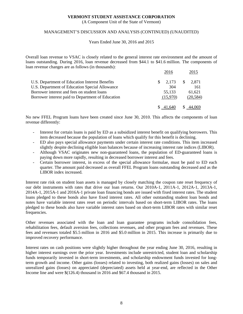(A Component Unit of the State of Vermont)

## MANAGEMENT'S DISCUSSION AND ANALYSIS (CONTINUED) (UNAUDITED)

#### Years Ended June 30, 2016 and 2015

Overall loan revenue to VSAC is closely related to the general interest rate environment and the amount of loans outstanding. During 2016, loan revenue decreased from \$44.1 to \$41.6 million. The components of loan revenue changes are as follows (in thousands):

|                                                   | 2016        | 2015                  |
|---------------------------------------------------|-------------|-----------------------|
| U.S. Department of Education Interest Benefits    | 2.173<br>S. | <sup>S</sup><br>2.871 |
| U.S. Department of Education Special Allowance    | 304         | 161                   |
| Borrower interest and fees on student loans       | 55,133      | 61.621                |
| Borrower interest paid to Department of Education | (15.970)    | (20, 584)             |
|                                                   |             |                       |

No new FFEL Program loans have been created since June 30, 2010. This affects the components of loan revenue differently:

- Interest for certain loans is paid by ED as a subsidized interest benefit on qualifying borrowers. This item decreased because the population of loans which qualify for this benefit is declining.
- ED also pays special allowance payments under certain interest rate conditions. This item increased slightly despite declining eligible loan balances because of increasing interest rate indices (LIBOR).
- Although VSAC originates new non-guaranteed loans, the population of ED-guaranteed loans is paying down more rapidly, resulting in decreased borrower interest and fees.
- Certain borrower interest, in excess of the special allowance formulae, must be paid to ED each quarter. The amount paid decreased as overall FFEL Program loans outstanding decreased and as the LIBOR index increased.

Interest rate risk on student loan assets is managed by closely matching the coupon rate reset frequency of our debt instruments with rates that drive our loan returns. Our 2010A-1, 2011A-1, 2012A-1, 2013A-1, 2014A-1, 2015A-1 and 2016A-1 private loan financing bonds are issued with fixed interest rates. The student loans pledged to these bonds also have fixed interest rates. All other outstanding student loan bonds and notes have variable interest rates reset on periodic intervals based on short-term LIBOR rates. The loans pledged to these bonds also have variable interest rates based on short-term LIBOR rates with similar reset frequencies.

Other revenues associated with the loan and loan guarantee programs include consolidation fees, rehabilitation fees, default aversion fees, collections revenues, and other program fees and revenues. These fees and revenues totaled \$5.5 million in 2016 and \$5.0 million in 2015. This increase is primarily due to improved recovery performance.

Interest rates on cash positions were slightly higher throughout the year ending June 30, 2016, resulting in higher interest earnings over the prior year. Investments include unrestricted, student loan and scholarship funds temporarily invested in short-term investments, and scholarship endowment funds invested for longterm growth and income. Other gains (losses) related to investing, both realized gains (losses) on sales and unrealized gains (losses) on appreciated (depreciated) assets held at year-end, are reflected in the Other Income line and were \$(126.4) thousand in 2016 and \$67.4 thousand in 2015.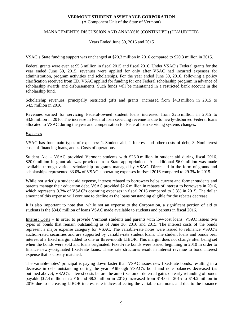(A Component Unit of the State of Vermont)

# MANAGEMENT'S DISCUSSION AND ANALYSIS (CONTINUED) (UNAUDITED)

#### Years Ended June 30, 2016 and 2015

VSAC's State funding support was unchanged at \$20.3 million in 2016 compared to \$20.3 million in 2015.

Federal grants were even at \$5.3 million in fiscal 2015 and fiscal 2016. Under VSAC's Federal grants for the year ended June 30, 2015, revenues were applied for only after VSAC had incurred expenses for administration, program activities and scholarships. For the year ended June 30, 2016, following a policy clarification received from ED, VSAC applied for funding for one Federal scholarship program in advance of scholarship awards and disbursements. Such funds will be maintained in a restricted bank account in the scholarship fund.

Scholarship revenues, principally restricted gifts and grants, increased from \$4.3 million in 2015 to \$4.5 million in 2016.

Revenues earned for servicing Federal-owned student loans increased from \$2.5 million in 2015 to \$3.8 million in 2016. The increase in Federal loan servicing revenue is due to newly-disbursed Federal loans allocated to VSAC during the year and compensation for Federal loan servicing systems changes.

#### *Expenses*

VSAC has four main types of expenses: 1. Student aid, 2. Interest and other costs of debt, 3. Noninterest costs of financing loans, and 4. Costs of operations.

Student Aid – VSAC provided Vermont students with \$26.0 million in student aid during fiscal 2016. \$20.0 million in grant aid was provided from State appropriations. An additional \$6.0 million was made available through various scholarship programs managed by VSAC. Direct aid in the form of grants and scholarships represented 33.0% of VSAC's operating expenses in fiscal 2016 compared to 29.3% in 2015.

While not strictly a student aid expense, interest rebated to borrowers helps current and former students and parents manage their education debt. VSAC provided \$2.6 million in rebates of interest to borrowers in 2016, which represents 3.3% of VSAC's operating expenses in fiscal 2016 compared to 3.8% in 2015. The dollar amount of this expense will continue to decline as the loans outstanding eligible for the rebates decrease.

It is also important to note that, while not an expense to the Corporation, a significant portion of aid to students is the \$34.8 million of loans VSAC made available to students and parents in fiscal 2016.

Interest Costs – In order to provide Vermont students and parents with low-cost loans, VSAC issues two types of bonds that remain outstanding as of June 30, 2016 and 2015. The interest costs of the bonds represent a major expense category for VSAC. The variable-rate notes were issued to refinance VSAC's auction-rated securities and are supported by variable-rate student loans. The student loans and bonds bear interest at a fixed margin added to one or three-month LIBOR. This margin does not change after being set when the bonds were sold and loans originated. Fixed-rate bonds were issued beginning in 2010 in order to finance newly-originated fixed-rate loans. These rate structures result in interest revenue to bond interest expense that is closely matched.

The variable-notes' principal is paying down faster than VSAC issues new fixed-rate bonds, resulting in a decrease in debt outstanding during the year. Although VSAC's bond and note balances decreased (as outlined above), VSAC's interest costs before the amortization of deferred gains on early refunding of bonds payable (\$7.4 million in 2016 and \$8.3 million in 2015) increased from \$14.0 in 2015 to \$14.2 million in 2016 due to increasing LIBOR interest rate indices affecting the variable-rate notes and due to the issuance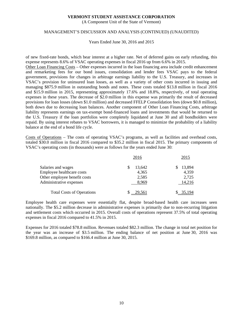(A Component Unit of the State of Vermont)

## MANAGEMENT'S DISCUSSION AND ANALYSIS (CONTINUED) (UNAUDITED)

Years Ended June 30, 2016 and 2015

of new fixed-rate bonds, which bear interest at a higher rate. Net of deferred gains on early refunding, this expense represents 8.6% of VSAC operating expenses in fiscal 2016 up from 6.6% in 2015.

Other Loan Financing Costs – Other expenses incurred in the loan financing area include credit enhancement and remarketing fees for our bond issues, consolidation and lender fees VSAC pays to the federal government, provisions for changes in arbitrage earnings liability to the U.S. Treasury, and increases in VSAC's provision for uninsured loan losses, as well as a variety of other costs incurred in issuing and managing \$875.9 million in outstanding bonds and notes. These costs totaled \$13.8 million in fiscal 2016 and \$15.9 million in 2015, representing approximately 17.6% and 18.8%, respectively, of total operating expenses in these years. The decrease of \$2.0 million in this expense was primarily the result of decreased provisions for loan losses (down \$1.0 million) and decreased FFELP Consolidation fees (down \$0.8 million), both down due to decreasing loan balances. Another component of Other Loan Financing Costs, arbitrage liability represents earnings on tax-exempt bond-financed loans and investments that would be returned to the U.S. Treasury if the loan portfolios were completely liquidated at June 30 and all bondholders were repaid. By using interest rebates to VSAC borrowers, it is managed to minimize the probability of a liability balance at the end of a bond life cycle.

Costs of Operations – The costs of operating VSAC's programs, as well as facilities and overhead costs, totaled \$30.0 million in fiscal 2016 compared to \$35.2 million in fiscal 2015. The primary components of VSAC's operating costs (in thousands) were as follows for the years ended June 30:

|                                  | 2016   | 2015      |
|----------------------------------|--------|-----------|
| Salaries and wages               | 13,642 | 13,894    |
| Employee healthcare costs        | 4,365  | 4,359     |
| Other employee benefit costs     | 2,585  | 2,725     |
| Administrative expenses          | 8.969  | 14,216    |
| <b>Total Costs of Operations</b> | 29,561 | $-35,194$ |

Employee health care expenses were essentially flat, despite broad-based health care increases seen nationally. The \$5.2 million decrease in administrative expenses is primarily due to non-recurring litigation and settlement costs which occurred in 2015. Overall costs of operations represent 37.5% of total operating expenses in fiscal 2016 compared to 41.5% in 2015.

Expenses for 2016 totaled \$78.8 million. Revenues totaled \$82.3 million. The change in total net position for the year was an increase of \$3.5 million. The ending balance of net position at June 30, 2016 was \$169.8 million, as compared to \$166.4 million at June 30, 2015.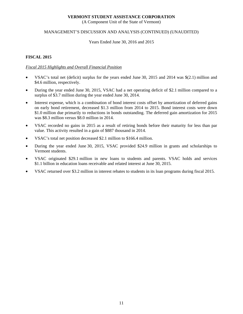(A Component Unit of the State of Vermont)

# MANAGEMENT'S DISCUSSION AND ANALYSIS (CONTINUED) (UNAUDITED)

#### Years Ended June 30, 2016 and 2015

# **FISCAL 2015**

# *Fiscal 2015 Highlights and Overall Financial Position*

- VSAC's total net (deficit) surplus for the years ended June 30, 2015 and 2014 was \$(2.1) million and \$4.6 million, respectively.
- During the year ended June 30, 2015, VSAC had a net operating deficit of \$2.1 million compared to a surplus of \$3.7 million during the year ended June 30, 2014.
- Interest expense, which is a combination of bond interest costs offset by amortization of deferred gains on early bond retirement, decreased \$1.3 million from 2014 to 2015. Bond interest costs were down \$1.0 million due primarily to reductions in bonds outstanding. The deferred gain amortization for 2015 was \$8.3 million versus \$8.0 million in 2014.
- VSAC recorded no gains in 2015 as a result of retiring bonds before their maturity for less than par value. This activity resulted in a gain of \$887 thousand in 2014.
- VSAC's total net position decreased \$2.1 million to \$166.4 million.
- During the year ended June 30, 2015, VSAC provided \$24.9 million in grants and scholarships to Vermont students.
- VSAC originated \$29.1 million in new loans to students and parents. VSAC holds and services \$1.1 billion in education loans receivable and related interest at June 30, 2015.
- VSAC returned over \$3.2 million in interest rebates to students in its loan programs during fiscal 2015.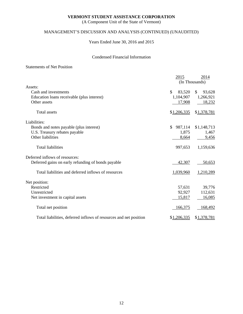(A Component Unit of the State of Vermont)

# MANAGEMENT'S DISCUSSION AND ANALYSIS (CONTINUED) (UNAUDITED)

Years Ended June 30, 2016 and 2015

# Condensed Financial Information

# Statements of Net Position

|                                                                   | 2015          | 2014           |
|-------------------------------------------------------------------|---------------|----------------|
| Assets:                                                           |               | (In Thousands) |
| Cash and investments                                              | \$<br>83,520  | \$<br>93,628   |
| Education loans receivable (plus interest)                        | 1,104,907     | 1,266,921      |
|                                                                   |               |                |
| Other assets                                                      | 17,908        | 18,232         |
| <b>Total</b> assets                                               | \$1,206,335   | \$1,378,781    |
| Liabilities:                                                      |               |                |
| Bonds and notes payable (plus interest)                           | \$<br>987,114 | \$1,148,713    |
| U.S. Treasury rebates payable                                     | 1,875         | 1,467          |
| Other liabilities                                                 | 8,664         | 9,456          |
|                                                                   |               |                |
| <b>Total liabilities</b>                                          | 997,653       | 1,159,636      |
| Deferred inflows of resources:                                    |               |                |
| Deferred gains on early refunding of bonds payable                | 42,307        | 50,653         |
| Total liabilities and deferred inflows of resources               | 1,039,960     | 1,210,289      |
| Net position:                                                     |               |                |
| Restricted                                                        | 57,631        | 39,776         |
| Unrestricted                                                      | 92,927        | 112,631        |
| Net investment in capital assets                                  | 15,817        | 16,085         |
| Total net position                                                | 166,375       | 168,492        |
| Total liabilities, deferred inflows of resources and net position | \$1,206,335   | \$1,378,781    |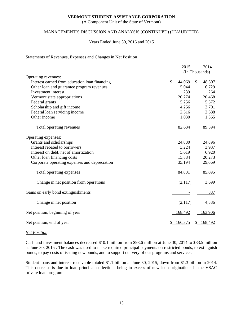(A Component Unit of the State of Vermont)

# MANAGEMENT'S DISCUSSION AND ANALYSIS (CONTINUED) (UNAUDITED)

#### Years Ended June 30, 2016 and 2015

#### Statements of Revenues, Expenses and Changes in Net Position

|                                               | 2015         | 2014           |
|-----------------------------------------------|--------------|----------------|
|                                               |              | (In Thousands) |
| Operating revenues:                           |              |                |
| Interest earned from education loan financing | \$<br>44,069 | \$<br>48,607   |
| Other loan and guarantee program revenues     | 5,044        | 6,729          |
| Investment interest                           | 239          | 264            |
| Vermont state appropriations                  | 20,274       | 20,468         |
| Federal grants                                | 5,256        | 5,572          |
| Scholarship and gift income                   | 4,256        | 3,701          |
| Federal loan servicing income                 | 2,516        | 2,688          |
| Other income                                  | 1,030        | 1,365          |
| Total operating revenues                      | 82,684       | 89,394         |
| Operating expenses:                           |              |                |
| Grants and scholarships                       | 24,880       | 24,896         |
| Interest rebated to borrowers                 | 3,224        | 3,937          |
| Interest on debt, net of amortization         | 5,619        | 6,920          |
| Other loan financing costs                    | 15,884       | 20,273         |
| Corporate operating expenses and depreciation | 35,194       | 29,669         |
| Total operating expenses                      | 84,801       | 85,695         |
| Change in net position from operations        | (2,117)      | 3,699          |
| Gains on early bond extinguishments           |              | 887            |
| Change in net position                        | (2,117)      | 4,586          |
| Net position, beginning of year               | 168,492      | 163,906        |
| Net position, end of year                     | 166,375      | \$168,492      |

#### *Net Position*

Cash and investment balances decreased \$10.1 million from \$93.6 million at June 30, 2014 to \$83.5 million at June 30, 2015 . The cash was used to make required principal payments on restricted bonds, to extinguish bonds, to pay costs of issuing new bonds, and to support delivery of our programs and services.

Student loans and interest receivable totaled \$1.1 billion at June 30, 2015, down from \$1.3 billion in 2014. This decrease is due to loan principal collections being in excess of new loan originations in the VSAC private loan program.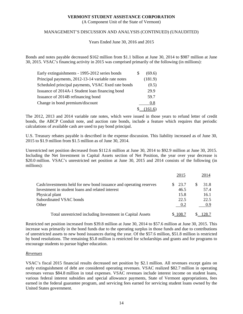(A Component Unit of the State of Vermont)

# MANAGEMENT'S DISCUSSION AND ANALYSIS (CONTINUED) (UNAUDITED)

Years Ended June 30, 2016 and 2015

Bonds and notes payable decreased \$162 million from \$1.1 billion at June 30, 2014 to \$987 million at June 30, 2015. VSAC's financing activity in 2015 was comprised primarily of the following (in millions):

| Early extinguishments - 1995-2012 series bonds      | (69.6)  |
|-----------------------------------------------------|---------|
| Principal payments, 2012-13-14 variable rate notes  | (181.9) |
| Scheduled principal payments, VSAC fixed rate bonds | (0.5)   |
| Issuance of 2014A-1 Student loan financing bond     | 29.9    |
| Issuance of 2014B refinancing bond                  | 59.7    |
| Change in bond premium/discount                     | 0.8     |
|                                                     | 161.6)  |

The 2012, 2013 and 2014 variable rate notes, which were issued in those years to refund letter of credit bonds, the ABCP Conduit note, and auction rate bonds, include a feature which requires that periodic calculations of available cash are used to pay bond principal.

U.S. Treasury rebates payable is described in the expense discussion. This liability increased as of June 30, 2015 to \$1.9 million from \$1.5 million as of June 30, 2014.

Unrestricted net position decreased from \$112.6 million at June 30, 2014 to \$92.9 million at June 30, 2015. Including the Net Investment in Capital Assets section of Net Position, the year over year decrease is \$20.0 million. VSAC's unrestricted net position at June 30, 2015 and 2014 consists of the following (in millions):

|                                                                    | 2015       | 2014  |
|--------------------------------------------------------------------|------------|-------|
| Cash/investments held for new bond issuance and operating reserves | 23.7<br>S. | 31.8  |
| Investment in student loans and related interest                   | 46.5       | 57.4  |
| Physical plant                                                     | 15.8       | 16.1  |
| Subordinated VSAC bonds                                            | 22.5       | 22.5  |
| Other                                                              | 0.2        | 0.9   |
| Total unrestricted including Investment in Capital Assets          | \$108.7    | 128.7 |

Restricted net position increased from \$39.8 million at June 30, 2014 to \$57.6 million at June 30, 2015. This increase was primarily in the bond funds due to the operating surplus in those funds and due to contributions of unrestricted assets to new bond issuances during the year. Of the \$57.6 million, \$51.8 million is restricted by bond resolutions. The remaining \$5.8 million is restricted for scholarships and grants and for programs to encourage students to pursue higher education.

#### *Revenues*

VSAC's fiscal 2015 financial results decreased net position by \$2.1 million. All revenues except gains on early extinguishment of debt are considered operating revenues. VSAC realized \$82.7 million in operating revenues versus \$84.8 million in total expenses. VSAC revenues include interest income on student loans, various federal interest subsidies and special allowance payments, State of Vermont appropriations, fees earned in the federal guarantee program, and servicing fees earned for servicing student loans owned by the United States government.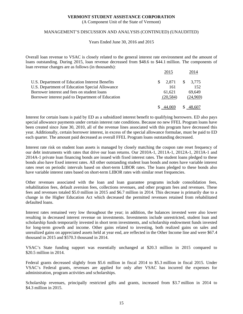(A Component Unit of the State of Vermont)

### MANAGEMENT'S DISCUSSION AND ANALYSIS (CONTINUED) (UNAUDITED)

Years Ended June 30, 2016 and 2015

Overall loan revenue to VSAC is closely related to the general interest rate environment and the amount of loans outstanding. During 2015, loan revenue decreased from \$48.6 to \$44.1 million. The components of loan revenue changes are as follows (in thousands):

|                                                   | 2015         | 2014               |
|---------------------------------------------------|--------------|--------------------|
| U.S. Department of Education Interest Benefits    | 2.871<br>SS. | $\frac{\$}{3,775}$ |
| U.S. Department of Education Special Allowance    | 161          | 152                |
| Borrower interest and fees on student loans       | 61.621       | 69.649             |
| Borrower interest paid to Department of Education | (20, 584)    | (24,969)           |
|                                                   | 44,069       | 48,607             |

Interest for certain loans is paid by ED as a subsidized interest benefit to qualifying borrowers. ED also pays special allowance payments under certain interest rate conditions. Because no new FFEL Program loans have been created since June 30, 2010, all of the revenue lines associated with this program have decreased this year. Additionally, certain borrower interest, in excess of the special allowance formulae, must be paid to ED each quarter. The amount paid decreased as overall FFEL Program loans outstanding decreased.

Interest rate risk on student loan assets is managed by closely matching the coupon rate reset frequency of our debt instruments with rates that drive our loan returns. Our 2010A-1, 2011A-1, 2012A-1, 2013A-1 and 2014A-1 private loan financing bonds are issued with fixed interest rates. The student loans pledged to these bonds also have fixed interest rates. All other outstanding student loan bonds and notes have variable interest rates reset on periodic intervals based on short-term LIBOR rates. The loans pledged to these bonds also have variable interest rates based on short-term LIBOR rates with similar reset frequencies.

Other revenues associated with the loan and loan guarantee programs include consolidation fees, rehabilitation fees, default aversion fees, collections revenues, and other program fees and revenues. These fees and revenues totaled \$5.0 million in 2015 and \$6.7 million in 2014. This decrease is primarily due to a change in the Higher Education Act which decreased the permitted revenues retained from rehabilitated defaulted loans.

Interest rates remained very low throughout the year; in addition, the balances invested were also lower resulting in decreased interest revenue on investments. Investments include unrestricted, student loan and scholarship funds temporarily invested in short term investments, and scholarship endowment funds invested for long-term growth and income. Other gains related to investing, both realized gains on sales and unrealized gains on appreciated assets held at year end, are reflected in the Other Income line and were \$67.4 thousand in 2015 and \$570.3 thousand in 2014.

VSAC's State funding support was essentially unchanged at \$20.3 million in 2015 compared to \$20.5 million in 2014.

Federal grants decreased slightly from \$5.6 million in fiscal 2014 to \$5.3 million in fiscal 2015. Under VSAC's Federal grants, revenues are applied for only after VSAC has incurred the expenses for administration, program activities and scholarships.

Scholarship revenues, principally restricted gifts and grants, increased from \$3.7 million in 2014 to \$4.3 million in 2015.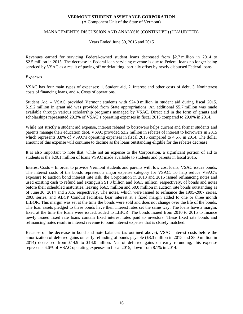(A Component Unit of the State of Vermont)

### MANAGEMENT'S DISCUSSION AND ANALYSIS (CONTINUED) (UNAUDITED)

Years Ended June 30, 2016 and 2015

Revenues earned for servicing Federal-owned student loans decreased from \$2.7 million in 2014 to \$2.5 million in 2015. The decrease in Federal loan servicing revenue is due to Federal loans no longer being serviced by VSAC as a result of paying off or defaulting, partially offset by newly disbursed Federal loans.

## *Expenses*

VSAC has four main types of expenses: 1. Student aid, 2. Interest and other costs of debt, 3. Noninterest costs of financing loans, and 4. Costs of operations.

Student Aid – VSAC provided Vermont students with \$24.9 million in student aid during fiscal 2015. \$19.2 million in grant aid was provided from State appropriations. An additional \$5.7 million was made available through various scholarship programs managed by VSAC. Direct aid in the form of grants and scholarships represented 29.3% of VSAC's operating expenses in fiscal 2015 compared to 29.0% in 2014.

While not strictly a student aid expense, interest rebated to borrowers helps current and former students and parents manage their education debt. VSAC provided \$3.2 million in rebates of interest to borrowers in 2015 which represents 3.8% of VSAC's operating expenses in fiscal 2015 compared to 4.6% in 2014. The dollar amount of this expense will continue to decline as the loans outstanding eligible for the rebates decrease.

It is also important to note that, while not an expense to the Corporation, a significant portion of aid to students is the \$29.1 million of loans VSAC made available to students and parents in fiscal 2015.

Interest Costs – In order to provide Vermont students and parents with low cost loans, VSAC issues bonds. The interest costs of the bonds represent a major expense category for VSAC. To help reduce VSAC's exposure to auction bond interest rate risk, the Corporation in 2013 and 2015 issued refinancing notes and used existing cash to refund and extinguish \$1.3 billion and \$66.5 million, respectively, of bonds and notes before their scheduled maturities, leaving \$66.5 million and \$0.0 million in auction rate bonds outstanding as of June 30, 2014 and 2015, respectively. The notes, which were issued to refinance the 1995-2007 series, 2008 series, and ABCP Conduit facilities, bear interest at a fixed margin added to one or three month LIBOR. This margin was set at the time the bonds were sold and does not change over the life of the bonds. The loan assets pledged to these bonds have their interest rates set the same way. The loans have a margin, fixed at the time the loans were issued, added to LIBOR. The bonds issued from 2010 to 2015 to finance newly issued fixed rate loans contain fixed interest rates paid to investors. These fixed rate bonds and refinancing notes result in interest revenue to bond interest expense that is closely matched.

Because of the decrease in bond and note balances (as outlined above), VSAC interest costs before the amortization of deferred gains on early refunding of bonds payable (\$8.3 million in 2015 and \$8.0 million in 2014) decreased from \$14.9 to \$14.0 million. Net of deferred gains on early refunding, this expense represents 6.6% of VSAC operating expenses in fiscal 2015, down from 8.1% in 2014.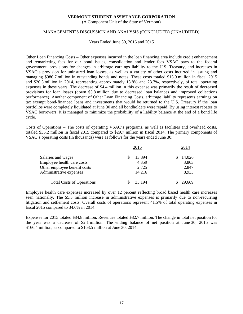(A Component Unit of the State of Vermont)

#### MANAGEMENT'S DISCUSSION AND ANALYSIS (CONCLUDED) (UNAUDITED)

Years Ended June 30, 2016 and 2015

Other Loan Financing Costs – Other expenses incurred in the loan financing area include credit enhancement and remarketing fees for our bond issues, consolidation and lender fees VSAC pays to the federal government, provisions for changes in arbitrage earnings liability to the U.S. Treasury, and increases in VSAC's provision for uninsured loan losses, as well as a variety of other costs incurred in issuing and managing \$986.7 million in outstanding bonds and notes. These costs totaled \$15.9 million in fiscal 2015 and \$20.3 million in 2014, representing approximately 18.8% and 23.7%, respectively, of total operating expenses in these years. The decrease of \$4.4 million in this expense was primarily the result of decreased provisions for loan losses (down \$3.8 million due to decreased loan balances and improved collections performance). Another component of Other Loan Financing Costs, arbitrage liability represents earnings on tax exempt bond-financed loans and investments that would be returned to the U.S. Treasury if the loan portfolios were completely liquidated at June 30 and all bondholders were repaid. By using interest rebates to VSAC borrowers, it is managed to minimize the probability of a liability balance at the end of a bond life cycle.

Costs of Operations – The costs of operating VSAC's programs, as well as facilities and overhead costs, totaled \$35.2 million in fiscal 2015 compared to \$29.7 million in fiscal 2014. The primary components of VSAC's operating costs (in thousands) were as follows for the years ended June 30:

|                                  | 2015   | 2014   |
|----------------------------------|--------|--------|
| Salaries and wages               | 13,894 | 14,026 |
| Employee health care costs       | 4,359  | 3,863  |
| Other employee benefit costs     | 2,725  | 2,847  |
| Administrative expenses          | 14,216 | 8,933  |
| <b>Total Costs of Operations</b> |        | 29,669 |

Employee health care expenses increased by over 12 percent reflecting broad based health care increases seen nationally. The \$5.3 million increase in administrative expenses is primarily due to non-recurring litigation and settlement costs. Overall costs of operations represent 41.5% of total operating expenses in fiscal 2015 compared to 34.6% in 2014.

Expenses for 2015 totaled \$84.8 million. Revenues totaled \$82.7 million. The change in total net position for the year was a decrease of \$2.1 million. The ending balance of net position at June 30, 2015 was \$166.4 million, as compared to \$168.5 million at June 30, 2014.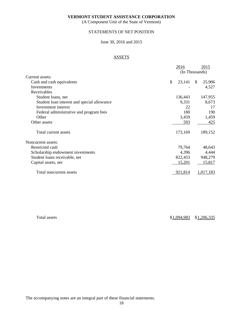(A Component Unit of the State of Vermont)

# STATEMENTS OF NET POSITION

# June 30, 2016 and 2015

# ASSETS

|                                             | 2016         | 2015                   |
|---------------------------------------------|--------------|------------------------|
|                                             |              | (In Thousands)         |
| Current assets:                             |              |                        |
| Cash and cash equivalents                   | \$<br>23,141 | 25,906<br>$\mathbb{S}$ |
| Investments                                 |              | 4,527                  |
| Receivables                                 |              |                        |
| Student loans, net                          | 136,443      | 147,955                |
| Student loan interest and special allowance | 9,331        | 8,673                  |
| Investment interest                         | 22           | 17                     |
| Federal administrative and program fees     | 180          | 190                    |
| Other                                       | 3,459        | 1,459                  |
| Other assets                                | 593          | 425                    |
| Total current assets                        | 173,169      | 189,152                |
| Noncurrent assets:                          |              |                        |
| Restricted cash                             | 79,764       | 48,643                 |
| Scholarship endowment investments           | 4,396        | 4,444                  |
| Student loans receivable, net               | 822,453      | 948,279                |
| Capital assets, net                         | 15,201       | 15,817                 |
| Total noncurrent assets                     | 921,814      | 1,017,183              |

Total assets  $$1,094,983$   $$1,206,335$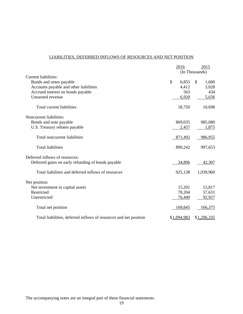# LIABILITIES, DEFERRED INFLOWS OF RESOURCES AND NET POSITION

|                                                                   | 2016        | 2015           |
|-------------------------------------------------------------------|-------------|----------------|
|                                                                   |             | (In Thousands) |
| Current liabilities:                                              |             |                |
| Bonds and notes payable                                           | \$<br>6,855 | \$<br>1,600    |
| Accounts payable and other liabilities                            | 4,412       | 3,028          |
| Accrued interest on bonds payable                                 | 563         | 434            |
| Unearned revenue                                                  | 6,920       | 5,636          |
| Total current liabilities                                         | 18,750      | 10,698         |
| Noncurrent liabilities:                                           |             |                |
| Bonds and note payable                                            | 869,035     | 985,080        |
| U.S. Treasury rebates payable                                     | 2,457       | 1,875          |
| Total noncurrent liabilities                                      | 871,492     | 986,955        |
| <b>Total liabilities</b>                                          | 890,242     | 997,653        |
| Deferred inflows of resources:                                    |             |                |
| Deferred gains on early refunding of bonds payable                | 34,896      | 42,307         |
| Total liabilities and deferred inflows of resources               | 925,138     | 1,039,960      |
| Net position:                                                     |             |                |
| Net investment in capital assets                                  | 15,201      | 15,817         |
| Restricted                                                        | 78,204      | 57,631         |
| Unrestricted                                                      | 76,440      | 92,927         |
| Total net position                                                | 169,845     | 166,375        |
| Total liabilities, deferred inflows of resources and net position | \$1,094,983 | \$1,206,335    |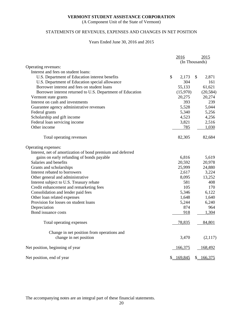(A Component Unit of the State of Vermont)

# STATEMENTS OF REVENUES, EXPENSES AND CHANGES IN NET POSITION

# Years Ended June 30, 2016 and 2015

|                                                            | 2016        |                | 2015      |
|------------------------------------------------------------|-------------|----------------|-----------|
|                                                            |             | (In Thousands) |           |
| Operating revenues:                                        |             |                |           |
| Interest and fees on student loans:                        |             |                |           |
| U.S. Department of Education interest benefits             | \$<br>2,173 | \$             | 2,871     |
| U.S. Department of Education special allowance             | 304         |                | 161       |
| Borrower interest and fees on student loans                | 55,133      |                | 61,621    |
| Borrower interest returned to U.S. Department of Education | (15,970)    |                | (20, 584) |
| Vermont state grants                                       | 20,275      |                | 20,274    |
| Interest on cash and investments                           | 393         |                | 239       |
| Guarantee agency administrative revenues                   | 5,528       |                | 5,044     |
| Federal grants                                             | 5,340       |                | 5,256     |
| Scholarship and gift income                                | 4,523       |                | 4,256     |
| Federal loan servicing income                              | 3,821       |                | 2,516     |
| Other income                                               | 785         |                | 1,030     |
| Total operating revenues                                   | 82,305      |                | 82,684    |
| Operating expenses:                                        |             |                |           |
| Interest, net of amortization of bond premium and deferred |             |                |           |
| gains on early refunding of bonds payable                  | 6,816       |                | 5,619     |
| Salaries and benefits                                      | 20,592      |                | 20,978    |
| Grants and scholarships                                    | 25,999      |                | 24,880    |
| Interest rebated to borrowers                              | 2,617       |                | 3,224     |
| Other general and administrative                           | 8,095       |                | 13,252    |
| Interest subject to U.S. Treasury rebate                   | 581         |                | 408       |
| Credit enhancement and remarketing fees                    | 105         |                | 170       |
| Consolidation and lender paid fees                         | 5,346       |                | 6,122     |
| Other loan related expenses                                | 1,648       |                | 1,640     |
| Provision for losses on student loans                      | 5,244       |                | 6,240     |
| Depreciation                                               | 874         |                | 964       |
| Bond issuance costs                                        | 918         |                | 1,304     |
| Total operating expenses                                   | 78,835      |                | 84,801    |
| Change in net position from operations and                 |             |                |           |
| change in net position                                     | 3,470       |                | (2,117)   |
| Net position, beginning of year                            | 166,375     |                | 168,492   |
| Net position, end of year                                  | \$169,845   |                | \$166,375 |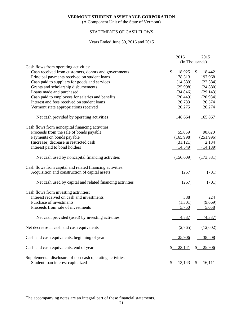(A Component Unit of the State of Vermont)

# STATEMENTS OF CASH FLOWS

# Years Ended June 30, 2016 and 2015

|                                                                                                |                | 2016      |                             | 2015       |
|------------------------------------------------------------------------------------------------|----------------|-----------|-----------------------------|------------|
|                                                                                                | (In Thousands) |           |                             |            |
| Cash flows from operating activities:                                                          |                |           |                             |            |
| Cash received from customers, donors and governments                                           | \$             | 18,925    | $\$\$                       | 18,442     |
| Principal payments received on student loans                                                   |                | 178,313   |                             | 197,968    |
| Cash paid to suppliers for goods and services                                                  |                | (14, 339) |                             | (22, 384)  |
| Grants and scholarship disbursements                                                           |                | (25,998)  |                             | (24,880)   |
| Loans made and purchased                                                                       |                | (34, 846) |                             | (29, 143)  |
| Cash paid to employees for salaries and benefits                                               |                | (20, 449) |                             | (20, 984)  |
| Interest and fees received on student loans                                                    |                | 26,783    |                             | 26,574     |
| Vermont state appropriations received                                                          |                | 20,275    |                             | 20,274     |
| Net cash provided by operating activities                                                      |                | 148,664   |                             | 165,867    |
| Cash flows from noncapital financing activities:                                               |                |           |                             |            |
| Proceeds from the sale of bonds payable                                                        |                | 55,659    |                             | 90,620     |
| Payments on bonds payable                                                                      |                | (165,998) |                             | (251,996)  |
| (Increase) decrease in restricted cash                                                         |                | (31, 121) |                             | 2,184      |
| Interest paid to bond holders                                                                  |                | (14, 549) |                             | (14,189)   |
| Net cash used by noncapital financing activities                                               |                | (156,009) |                             | (173, 381) |
| Cash flows from capital and related financing activities:                                      |                |           |                             |            |
| Acquisition and construction of capital assets                                                 |                | (257)     |                             | (701)      |
| Net cash used by capital and related financing activities                                      |                | (257)     |                             | (701)      |
| Cash flows from investing activities:                                                          |                |           |                             |            |
| Interest received on cash and investments                                                      |                | 388       |                             | 224        |
| Purchase of investments                                                                        |                | (1,301)   |                             | (9,669)    |
| Proceeds from sale of investments                                                              |                | 5,750     |                             | 5,058      |
| Net cash provided (used) by investing activities                                               |                | 4,837     |                             | (4, 387)   |
| Net decrease in cash and cash equivalents                                                      |                | (2,765)   |                             | (12,602)   |
| Cash and cash equivalents, beginning of year                                                   |                | 25,906    |                             | 38,508     |
| Cash and cash equivalents, end of year                                                         |                | 23,141    | \$                          | 25,906     |
| Supplemental disclosure of non-cash operating activities:<br>Student loan interest capitalized | $\mathbb{S}_-$ | 13,143    | $\mathcal{S}_{\mathcal{L}}$ | 16,111     |
|                                                                                                |                |           |                             |            |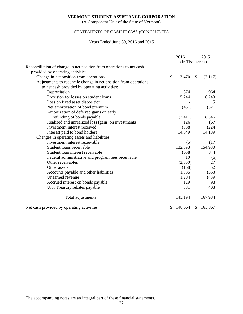(A Component Unit of the State of Vermont)

# STATEMENTS OF CASH FLOWS (CONCLUDED)

# Years Ended June 30, 2016 and 2015

|                                                                      | 2016           |               | 2015      |
|----------------------------------------------------------------------|----------------|---------------|-----------|
|                                                                      | (In Thousands) |               |           |
| Reconciliation of change in net position from operations to net cash |                |               |           |
| provided by operating activities:                                    |                |               |           |
| Change in net position from operations                               | \$<br>3,470    | $\mathcal{S}$ | (2,117)   |
| Adjustments to reconcile change in net position from operations      |                |               |           |
| to net cash provided by operating activities:                        |                |               |           |
| Depreciation                                                         | 874            |               | 964       |
| Provision for losses on student loans                                | 5,244          |               | 6,240     |
| Loss on fixed asset disposition                                      |                |               | 5         |
| Net amortization of bond premium                                     | (451)          |               | (321)     |
| Amortization of deferred gains on early                              |                |               |           |
| refunding of bonds payable                                           | (7, 411)       |               | (8,346)   |
| Realized and unrealized loss (gain) on investments                   | 126            |               | (67)      |
| Investment interest received                                         | (388)          |               | (224)     |
| Interest paid to bond holders                                        | 14,549         |               | 14,189    |
| Changes in operating assets and liabilities:                         |                |               |           |
| Investment interest receivable                                       | (5)            |               | (17)      |
| Student loans receivable                                             | 132,093        |               | 154,930   |
| Student loan interest receivable                                     | (658)          |               | 844       |
| Federal administrative and program fees receivable                   | 10             |               | (6)       |
| Other receivables                                                    | (2,000)        |               | 27        |
| Other assets                                                         | (168)          |               | 52        |
| Accounts payable and other liabilities                               | 1,385          |               | (353)     |
| Unearned revenue                                                     | 1,284          |               | (439)     |
| Accrued interest on bonds payable                                    | 129            |               | 98        |
| U.S. Treasury rebates payable                                        | 581            |               | 408       |
| Total adjustments                                                    | 145,194        |               | 167,984   |
| Net cash provided by operating activities                            | 148,664        |               | \$165,867 |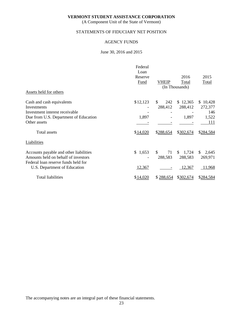(A Component Unit of the State of Vermont)

# STATEMENTS OF FIDUCIARY NET POSITION

# AGENCY FUNDS

#### June 30, 2016 and 2015

|                                                                            | Federal<br>Loan |                       |                         |             |
|----------------------------------------------------------------------------|-----------------|-----------------------|-------------------------|-------------|
|                                                                            | Reserve         |                       | 2016                    | 2015        |
|                                                                            | Fund            | VHEIP                 | Total                   | Total       |
|                                                                            |                 |                       | (In Thousands)          |             |
| Assets held for others                                                     |                 |                       |                         |             |
| Cash and cash equivalents                                                  | \$12,123        | $\mathbb{S}^-$<br>242 | \$12,365                | \$10,428    |
| Investments                                                                |                 | 288,412               | 288,412                 | 272,377     |
| Investment interest receivable                                             |                 |                       |                         | 146         |
| Due from U.S. Department of Education                                      | 1,897           |                       | 1,897                   | 1,522       |
| Other assets                                                               |                 |                       |                         | 111         |
| <b>Total</b> assets                                                        | \$14,020        | \$288,654             | \$302,674               | \$284,584   |
| Liabilities                                                                |                 |                       |                         |             |
| Accounts payable and other liabilities                                     | 1,653<br>\$     | 71<br>\$              | 1,724<br>$\mathbb{S}^-$ | 2,645<br>\$ |
| Amounts held on behalf of investors<br>Federal loan reserve funds held for |                 | 288,583               | 288,583                 | 269,971     |
| U.S. Department of Education                                               | 12,367          |                       | 12,367                  | 11,968      |
| <b>Total liabilities</b>                                                   | \$14,020        | \$288,654             | \$302,674               | \$284,584   |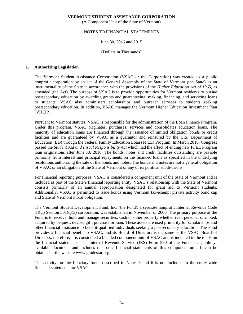(A Component Unit of the State of Vermont)

## NOTES TO FINANCIAL STATEMENTS

#### June 30, 2016 and 2015

#### (Dollars in Thousands)

#### **1. Authorizing Legislation**

The Vermont Student Assistance Corporation (VSAC or the Corporation) was created as a public nonprofit corporation by an act of the General Assembly of the State of Vermont (the State) as an instrumentality of the State in accordance with the provisions of the *Higher Education Act of 1965*, as amended (the Act). The purpose of VSAC is to provide opportunities for Vermont residents to pursue postsecondary education by awarding grants and guaranteeing, making, financing, and servicing loans to students. VSAC also administers scholarships and outreach services to students seeking postsecondary education. In addition, VSAC manages the Vermont Higher Education Investment Plan (VHEIP).

Pursuant to Vermont statutes, VSAC is responsible for the administration of the Loan Finance Program. Under this program, VSAC originates, purchases, services and consolidates education loans. The majority of education loans are financed through the issuance of limited obligation bonds or credit facilities and are guaranteed by VSAC as a guarantor and reinsured by the U.S. Department of Education (ED) through the Federal Family Education Loan (FFEL) Program. In March 2010, Congress passed the *Student Aid and Fiscal Responsibility Act* which had the effect of ending new FFEL Program loan originations after June 30, 2010. The bonds, notes and credit facilities outstanding are payable primarily from interest and principal repayments on the financed loans as specified in the underlying resolutions authorizing the sale of the bonds and notes. The bonds and notes are not a general obligation of VSAC or an obligation of the State of Vermont or any of its political subdivisions.

For financial reporting purposes, VSAC is considered a component unit of the State of Vermont and is included as part of the State's financial reporting entity. VSAC's relationship with the State of Vermont consists primarily of an annual appropriation designated for grant aid to Vermont students. Additionally, VSAC is permitted to issue bonds using Vermont tax-exempt private activity bond cap and State of Vermont moral obligation.

The Vermont Student Development Fund, Inc. (the Fund), a separate nonprofit Internal Revenue Code  $(IRC)$  Section  $501(c)(3)$  corporation, was established in November of 2000. The primary purpose of the Fund is to receive, hold and manage securities, cash or other property whether real, personal or mixed, acquired by bequest, devise, gift, purchase or loan. These assets are used primarily for scholarships and other financial assistance to benefit-qualified individuals seeking a postsecondary education. The Fund provides a financial benefit to VSAC, and its Board of Directors is the same as the VSAC Board of Directors; therefore, it is considered a blended component unit of VSAC and is included in the totals on the financial statements. The Internal Revenue Service (IRS) Form 990 of the Fund is a publiclyavailable document and includes the basic financial statements of this component unit. It can be obtained at the website www.guidestar.org.

The activity for the fiduciary funds described in Notes 5 and 6 is not included in the entity-wide financial statements for VSAC.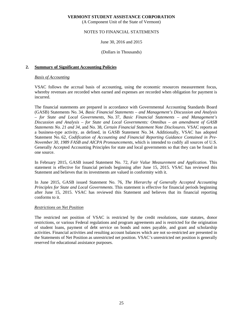(A Component Unit of the State of Vermont)

# NOTES TO FINANCIAL STATEMENTS

June 30, 2016 and 2015

(Dollars in Thousands)

#### **2. Summary of Significant Accounting Policies**

#### *Basis of Accounting*

VSAC follows the accrual basis of accounting, using the economic resources measurement focus, whereby revenues are recorded when earned and expenses are recorded when obligation for payment is incurred.

The financial statements are prepared in accordance with Governmental Accounting Standards Board (GASB) Statements No. 34, *Basic Financial Statements – and Management's Discussion and Analysis – for State and Local Governments*, No. 37, *Basic Financial Statements – and Management's Discussion and Analysis – for State and Local Governments: Omnibus – an amendment of GASB Statements No. 21 and 34*, and No. 38, *Certain Financial Statement Note Disclosures*. VSAC reports as a business-type activity, as defined, in GASB Statement No. 34. Additionally, VSAC has adopted Statement No. 62, *Codification of Accounting and Financial Reporting Guidance Contained in Pre-November 30, 1989 FASB and AICPA Pronouncements,* which is intended to codify all sources of U.S. Generally Accepted Accounting Principles for state and local governments so that they can be found in one source.

In February 2015, GASB issued Statement No. 72, *Fair Value Measurement and Application*. This statement is effective for financial periods beginning after June 15, 2015. VSAC has reviewed this Statement and believes that its investments are valued in conformity with it.

In June 2015, GASB issued Statement No. 76, *The Hierarchy of Generally Accepted Accounting Principles for State and Local Governments*. This statement is effective for financial periods beginning after June 15, 2015. VSAC has reviewed this Statement and believes that its financial reporting conforms to it.

# *Restrictions on Net Position*

The restricted net position of VSAC is restricted by the credit resolutions, state statutes, donor restrictions, or various Federal regulations and program agreements and is restricted for the origination of student loans, payment of debt service on bonds and notes payable, and grant and scholarship activities. Financial activities and resulting account balances which are not so-restricted are presented in the Statements of Net Position as unrestricted net position. VSAC's unrestricted net position is generally reserved for educational assistance purposes.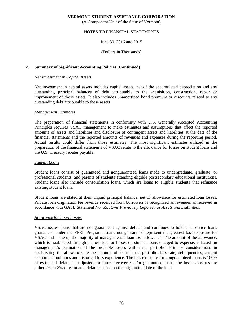(A Component Unit of the State of Vermont)

# NOTES TO FINANCIAL STATEMENTS

#### June 30, 2016 and 2015

#### (Dollars in Thousands)

#### **2. Summary of Significant Accounting Policies (Continued)**

#### *Net Investment in Capital Assets*

Net investment in capital assets includes capital assets, net of the accumulated depreciation and any outstanding principal balances of debt attributable to the acquisition, construction, repair or improvement of those assets. It also includes unamortized bond premium or discounts related to any outstanding debt attributable to these assets.

#### *Management Estimates*

The preparation of financial statements in conformity with U.S. Generally Accepted Accounting Principles requires VSAC management to make estimates and assumptions that affect the reported amounts of assets and liabilities and disclosure of contingent assets and liabilities at the date of the financial statements and the reported amounts of revenues and expenses during the reporting period. Actual results could differ from those estimates. The most significant estimates utilized in the preparation of the financial statements of VSAC relate to the allowance for losses on student loans and the U.S. Treasury rebates payable.

#### *Student Loans*

Student loans consist of guaranteed and nonguaranteed loans made to undergraduate, graduate, or professional students, and parents of students attending eligible postsecondary educational institutions. Student loans also include consolidation loans, which are loans to eligible students that refinance existing student loans.

Student loans are stated at their unpaid principal balance, net of allowance for estimated loan losses. Private loan origination fee revenue received from borrowers is recognized as revenues as received in accordance with GASB Statement No. 65, *Items Previously Reported as Assets and Liabilities.* 

#### *Allowance for Loan Losses*

VSAC issues loans that are not guaranteed against default and continues to hold and service loans guaranteed under the FFEL Program. Loans not guaranteed represent the greatest loss exposure for VSAC and make up the majority of management's loan loss allowance. The amount of the allowance, which is established through a provision for losses on student loans charged to expense, is based on management's estimation of the probable losses within the portfolio. Primary considerations in establishing the allowance are the amounts of loans in the portfolio, loss rate, delinquencies, current economic conditions and historical loss experience. The loss exposure for nonguaranteed loans is 100% of estimated defaults unadjusted for future recoveries. For guaranteed loans, the loss exposures are either 2% or 3% of estimated defaults based on the origination date of the loan.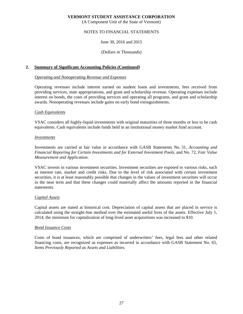(A Component Unit of the State of Vermont)

# NOTES TO FINANCIAL STATEMENTS

#### June 30, 2016 and 2015

(Dollars in Thousands)

## **2. Summary of Significant Accounting Policies (Continued)**

#### *Operating and Nonoperating Revenue and Expenses*

Operating revenues include interest earned on student loans and investments, fees received from providing services, state appropriations, and grant and scholarship revenue. Operating expenses include interest on bonds, the costs of providing services and operating all programs, and grant and scholarship awards. Nonoperating revenues include gains on early bond extinguishments.

#### *Cash Equivalents*

VSAC considers all highly-liquid investments with original maturities of three months or less to be cash equivalents. Cash equivalents include funds held in an institutional money market fund account.

#### *Investments*

Investments are carried at fair value in accordance with GASB Statements No. 31, *Accounting and Financial Reporting for Certain Investments and for External Investment Pools*, and No. 72, *Fair Value Measurement and Application*.

VSAC invests in various investment securities. Investment securities are exposed to various risks, such as interest rate, market and credit risks. Due to the level of risk associated with certain investment securities, it is at least reasonably possible that changes in the values of investment securities will occur in the near term and that these changes could materially affect the amounts reported in the financial statements.

#### *Capital Assets*

Capital assets are stated at historical cost. Depreciation of capital assets that are placed in service is calculated using the straight-line method over the estimated useful lives of the assets. Effective July 1, 2014, the minimum for capitalization of long-lived asset acquisitions was increased to \$10.

# *Bond Issuance Costs*

Costs of bond issuances, which are comprised of underwriters' fees, legal fees and other related financing costs, are recognized as expenses as incurred in accordance with GASB Statement No. 65, *Items Previously Reported as Assets and Liabilities.*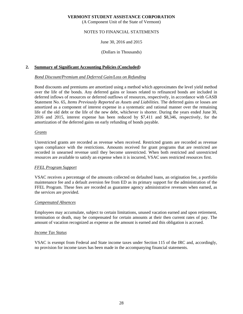(A Component Unit of the State of Vermont)

# NOTES TO FINANCIAL STATEMENTS

#### June 30, 2016 and 2015

(Dollars in Thousands)

# **2. Summary of Significant Accounting Policies (Concluded)**

#### *Bond Discount/Premium and Deferred Gain/Loss on Refunding*

Bond discounts and premiums are amortized using a method which approximates the level yield method over the life of the bonds. Any deferred gains or losses related to refinanced bonds are included in deferred inflows of resources or deferred outflows of resources, respectively, in accordance with GASB Statement No. 65, *Items Previously Reported as Assets and Liabilities.* The deferred gains or losses are amortized as a component of interest expense in a systematic and rational manner over the remaining life of the old debt or the life of the new debt, whichever is shorter. During the years ended June 30, 2016 and 2015, interest expense has been reduced by \$7,411 and \$8,346, respectively, for the amortization of the deferred gains on early refunding of bonds payable.

#### *Grants*

Unrestricted grants are recorded as revenue when received. Restricted grants are recorded as revenue upon compliance with the restrictions. Amounts received for grant programs that are restricted are recorded in unearned revenue until they become unrestricted. When both restricted and unrestricted resources are available to satisfy an expense when it is incurred, VSAC uses restricted resources first.

#### *FFEL Program Support*

VSAC receives a percentage of the amounts collected on defaulted loans, an origination fee, a portfolio maintenance fee and a default aversion fee from ED as its primary support for the administration of the FFEL Program. These fees are recorded as guarantee agency administrative revenues when earned, as the services are provided.

#### *Compensated Absences*

Employees may accumulate, subject to certain limitations, unused vacation earned and upon retirement, termination or death, may be compensated for certain amounts at their then current rates of pay. The amount of vacation recognized as expense as the amount is earned and this obligation is accrued.

#### *Income Tax Status*

VSAC is exempt from Federal and State income taxes under Section 115 of the IRC and, accordingly, no provision for income taxes has been made in the accompanying financial statements.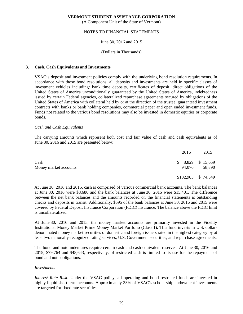(A Component Unit of the State of Vermont)

# NOTES TO FINANCIAL STATEMENTS

#### June 30, 2016 and 2015

#### (Dollars in Thousands)

# **3. Cash, Cash Equivalents and Investments**

VSAC's deposit and investment policies comply with the underlying bond resolution requirements. In accordance with those bond resolutions, all deposits and investments are held in specific classes of investment vehicles including: bank time deposits, certificates of deposit, direct obligations of the United States of America unconditionally guaranteed by the United States of America, indebtedness issued by certain Federal agencies, collateralized repurchase agreements secured by obligations of the United States of America with collateral held by or at the direction of the trustee, guaranteed investment contracts with banks or bank holding companies, commercial paper and open ended investment funds. Funds not related to the various bond resolutions may also be invested in domestic equities or corporate bonds.

#### *Cash and Cash Equivalents*

The carrying amounts which represent both cost and fair value of cash and cash equivalents as of June 30, 2016 and 2015 are presented below:

|                               | 2016                         | 2015                 |
|-------------------------------|------------------------------|----------------------|
| Cash<br>Money market accounts | $$8,829$ $$15,659$<br>94,076 | 58,890               |
|                               |                              | $$102,905$ $$74,549$ |

At June 30, 2016 and 2015, cash is comprised of various commercial bank accounts. The bank balances at June 30, 2016 were \$8,680 and the bank balances at June 30, 2015 were \$15,401. The difference between the net bank balances and the amounts recorded on the financial statements is outstanding checks and deposits in transit. Additionally, \$595 of the bank balances at June 30, 2016 and 2015 were covered by Federal Deposit Insurance Corporation (FDIC) insurance. The balance above the FDIC limit is uncollateralized.

At June 30, 2016 and 2015, the money market accounts are primarily invested in the Fidelity Institutional Money Market Prime Money Market Portfolio (Class 1). This fund invests in U.S. dollardenominated money market securities of domestic and foreign issuers rated in the highest category by at least two nationally-recognized rating services, U.S. Government securities, and repurchase agreements.

The bond and note indentures require certain cash and cash equivalent reserves. At June 30, 2016 and 2015, \$79,764 and \$48,643, respectively, of restricted cash is limited to its use for the repayment of bond and note obligations.

#### *Investments*

*Interest Rate Risk:* Under the VSAC policy, all operating and bond restricted funds are invested in highly liquid short term accounts. Approximately 33% of VSAC's scholarship endowment investments are targeted for fixed rate securities.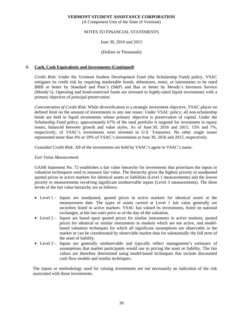(A Component Unit of the State of Vermont)

# NOTES TO FINANCIAL STATEMENTS

## June 30, 2016 and 2015

#### (Dollars in Thousands)

# **3. Cash, Cash Equivalents and Investments (Continued)**

*Credit Risk*: Under the Vermont Student Development Fund (the Scholarship Fund) policy, VSAC mitigates its credit risk by requiring marketable bonds, debentures, notes, or instruments to be rated BBB or better by Standard and Poor's (S&P) and Baa or better by Moody's Investors Service (Moody's). Operating and bond-restricted funds are invested in highly-rated liquid investments with a primary objective of principal preservation.

*Concentration of Credit Risk*: While diversification is a strategic investment objective, VSAC places no defined limit on the amount of investments in any one issuer. Under VSAC policy, all non-scholarship funds are held in liquid investments whose primary objective is preservation of capital. Under the Scholarship Fund policy, approximately 67% of the total portfolio is targeted for investment in equity issues, balanced between growth and value styles. As of June 30, 2016 and 2015, 15% and 7%, respectively, of VSAC's investments were invested in U.S. Treasuries. No other single issuer represented more than 4% or 19% of VSAC's investments at June 30, 2016 and 2015, respectively.

*Custodial Credit Risk:* All of the investments are held by VSAC's agent in VSAC's name.

#### *Fair Value Measurement*

GASB Statement No. 72 establishes a fair value hierarchy for investments that prioritizes the inputs to valuation techniquest used to measure fair value. The hierarchy gives the highest priority to unadjusted quoted prices in active markets for identical assets or liabilities (Level 1 measurements) and the lowest priority to measurements involving significant unobservable inputs (Level 3 measurements). The three levels of the fair value hierarchy are as follows:

- Level 1 Inputs are unadjusted, quoted prices in active markets for identical assets at the measurement date. The types of assets carried at Level 1 fair value generally are securities listed in active markets. VSAC has valued its investments, listed on national exchanges, at the last sales price as of the day of the valuation.
- Level 2 Inputs are based upon quoted prices for similar instruments in active markets, quoted prices for identical or similar instruments in markets which are not active, and modelbased valuation techniques for which all significant assumptions are observable in the market or can be corroborated by observable market data for substantially the full term of the asset of liability.
- Level 3 Inputs are generally unobservable and typically reflect management's estimates of assumptions that market participants would use in pricing the asset or liability. The fair values are therefore determined using model-based techniques that include discounted cash flow models and similar techniques.

The inputs or methodology used for valuing investments are not necessarily an indication of the risk associated with those investments.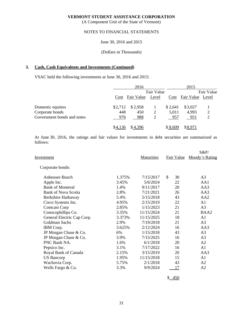(A Component Unit of the State of Vermont)

# NOTES TO FINANCIAL STATEMENTS

June 30, 2016 and 2015

(Dollars in Thousands)

#### **3. Cash, Cash Equivalents and Investments (Continued)**

VSAC held the following investments at June 30, 2016 and 2015:

|                            |         | 2016             |   |         | 2015                  |                |  |
|----------------------------|---------|------------------|---|---------|-----------------------|----------------|--|
|                            |         | Fair Value       |   |         | Fair Value            |                |  |
|                            | Cost    | Fair Value Level |   |         | Cost Fair Value Level |                |  |
| Domestic equities          | \$2,712 | \$2,958          |   | \$2,641 | \$3,027               |                |  |
| Corporate bonds            | 448     | 450              | 2 | 5,011   | 4,993                 | $\overline{2}$ |  |
| Government bonds and notes | 976     | 988              | 2 | 957     | 951                   | $\overline{2}$ |  |
|                            | \$4.136 | \$4,396          |   | \$8,609 | \$8,971               |                |  |

At June 30, 2016, the ratings and fair values for investments in debt securities are summarized as follows:

|                            |        |                   |                   | $S\&P/$         |
|----------------------------|--------|-------------------|-------------------|-----------------|
| <u>Investment</u>          |        | <b>Maturities</b> | <b>Fair Value</b> | Moody's Rating  |
| Corporate bonds:           |        |                   |                   |                 |
| Anheuser-Busch             | 1.375% | 7/15/2017         | \$<br>30          | A <sub>3</sub>  |
| Apple Inc.                 | 3.45%  | 5/6/2024          | 22                | AA1             |
| <b>Bank of Montreal</b>    | 1.4%   | 9/11/2017         | 20                | AA3             |
| <b>Bank of Nova Scotia</b> | 2.8%   | 7/21/2021         | 26                | AA3             |
| Berkshire Hathaway         | 5.4%   | 5/15/2018         | 43                | AA <sub>2</sub> |
| Cisco Systems Inc.         | 4.95%  | 2/15/2019         | 22                | A1              |
| <b>Comcast Corp</b>        | 2.85%  | 1/15/2023         | 21                | A3              |
| Conocophillips Co.         | 3.35%  | 11/15/2024        | 21                | BAA2            |
| General Electric Cap Corp. | 3.373% | 11/15/2025        | 18                | A1              |
| Goldman Sachs              | 2.9%   | 7/19/2018         | 21                | A <sub>3</sub>  |
| IBM Corp.                  | 3.625% | 2/12/2024         | 16                | AA3             |
| JP Morgan Chase & Co.      | 6%     | 1/15/2018         | 43                | A <sub>3</sub>  |
| JP Morgan Chase & Co.      | 3.9%   | 7/15/2025         | 16                | A <sub>3</sub>  |
| PNC Bank NA.               | 1.6%   | 6/1/2018          | 20                | A <sub>2</sub>  |
| Pepsico Inc.               | 3.1%   | 7/17/2022         | 16                | A1              |
| Royal Bank of Canada       | 2.15%  | 3/15/2019         | 20                | AA3             |
| <b>US</b> Bancorp          | 1.95%  | 11/15/2018        | 15                | A1              |
| Wachovia Corp.             | 5.75%  | 2/1/2018          | 43                | A2              |
| Wells Fargo & Co.          | 3.3%   | 9/9/2024          | 17                | A <sub>2</sub>  |
|                            |        |                   |                   |                 |

 $$ -450$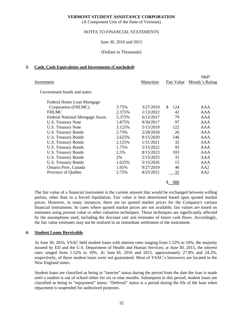(A Component Unit of the State of Vermont)

# NOTES TO FINANCIAL STATEMENTS

June 30, 2016 and 2015

(Dollars in Thousands)

#### **3. Cash, Cash Equivalents and Investments (Concluded)**

|                                  |        |            |            | $S\&P/$        |
|----------------------------------|--------|------------|------------|----------------|
| Investment                       |        | Maturities | Fair Value | Moody's Rating |
| Government bonds and notes:      |        |            |            |                |
| Federal Home Loan Mortgage       |        |            |            |                |
| Corporation (FHLMC)              | 3.75%  | 3/27/2019  | \$<br>124  | AAA            |
| <b>FHLMC</b>                     | 2.375% | 1/13/2022  | 42         | AAA            |
| Federal National Mortgage Assoc. | 5.375% | 6/12/2017  | 79         | AAA            |
| U.S. Treasury Note               | 1.875% | 9/30/2017  | 97         | AAA            |
| <b>U.S. Treasury Note</b>        | 3.125% | 5/15/2019  | 122        | AAA            |
| U.S. Treasury Bonds              | 2.75%  | 2/28/2018  | 26         | AAA            |
| <b>U.S. Treasury Bonds</b>       | 2.625% | 8/15/2020  | 146        | <b>AAA</b>     |
| U.S. Treasury Bonds              | 2.125% | 1/31/2021  | 32         | AAA            |
| U.S. Treasury Bonds              | 1.75%  | 5/15/2022  | 93         | AAA            |
| U.S. Treasury Bonds              | 2.5%   | 8/15/2023  | 103        | AAA            |
| U.S. Treasury Bonds              | 2%     | 2/15/2025  | 31         | AAA            |
| <b>U.S. Treasury Bonds</b>       | 1.625% | 5/15/2026  | 15         | AAA            |
| Ontario Prov, Canada             | 1.65%  | 9/27/2019  | 46         | AA2            |
| Province of Quebec               | 2.75%  | 8/25/2021  | 32         | AA2            |
|                                  |        |            | 988        |                |

The fair value of a financial instrument is the current amount that would be exchanged between willing parties, other than in a forced liquidation. Fair value is best determined based upon quoted market prices. However, in many instances, there are no quoted market prices for the Company's various financial instruments. In cases where quoted market prices are not available, fair values are based on estimates using present value or other valuation techniques. Those techniques are significantly affected by the assumptions used, including the discount rate and estimates of future cash flows. Accordingly, the fair value estimates may not be realized in an immediate settlement of the instrument.

# **4. Student Loans Receivable**

At June 30, 2016, VSAC held student loans with interest rates ranging from 1.52% to 10%, the majority insured by ED and the U.S. Department of Health and Human Services; at June 30, 2015, the interest rates ranged from 1.52% to 10%. At June 30, 2016 and 2015, approximately 27.8% and 24.2%, respectively, of these student loans were not guaranteed. Most of VSAC's borrowers are located in the New England states.

Student loans are classified as being in "interim" status during the period from the date the loan is made until a student is out of school either for six or nine months. Subsequent to this period, student loans are classified as being in "repayment" status. "Deferral" status is a period during the life of the loan when repayment is suspended for authorized purposes.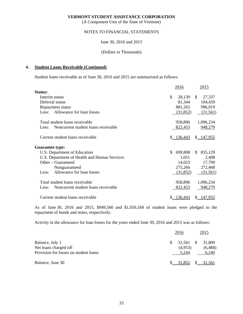(A Component Unit of the State of Vermont)

### NOTES TO FINANCIAL STATEMENTS

June 30, 2016 and 2015

#### (Dollars in Thousands)

#### **4. Student Loans Receivable (Continued)**

Student loans receivable as of June 30, 2016 and 2015 are summarized as follows:

|                                              | 2016          | 2015           |
|----------------------------------------------|---------------|----------------|
| <b>Status:</b>                               |               |                |
| Interim status                               | \$<br>28,139  | 27,337<br>\$   |
| Deferral status                              | 81,344        | 104,439        |
| Repayment status                             | 881,265       | 996,019        |
| Allowance for loan losses<br>Less:           | (31, 852)     | (31,561)       |
| Total student loans receivable               | 958,896       | 1,096,234      |
| Noncurrent student loans receivable<br>Less: | 822,453       | 948,279        |
| Current student loans receivable             | \$136,443     | \$147,955      |
| <b>Guarantee type:</b>                       |               |                |
| U.S. Department of Education                 | 699,808<br>\$ | 835,129<br>\$. |
| U.S. Department of Health and Human Services | 1,651         | 2,408          |
| Other – Guaranteed                           | 14,023        | 17,790         |
| Nonguaranteed                                | 275,266       | 272,468        |
| Allowance for loan losses<br>Less:           | (31, 852)     | (31,561)       |
| Total student loans receivable               | 958,896       | 1,096,234      |
| Noncurrent student loans receivable<br>Less: | 822,453       | 948,279        |
| Current student loans receivable             | 136,443<br>S. | \$147,955      |

As of June 30, 2016 and 2015, \$949,560 and \$1,050,168 of student loans were pledged to the repayment of bonds and notes, respectively.

Activity in the allowance for loan losses for the years ended June 30, 2016 and 2015 was as follows:

|                                                                                   |    | 2016                            | 2015                       |  |  |
|-----------------------------------------------------------------------------------|----|---------------------------------|----------------------------|--|--|
| Balance, July 1<br>Net loans charged off<br>Provision for losses on student loans | S. | $31,561$ \$<br>(4,953)<br>5.244 | 31,809<br>(6,488)<br>6,240 |  |  |
| Balance, June 30                                                                  |    | \$31,852                        | \$31,561                   |  |  |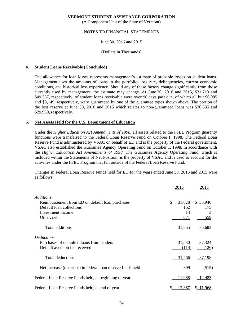(A Component Unit of the State of Vermont)

# NOTES TO FINANCIAL STATEMENTS

#### June 30, 2016 and 2015

(Dollars in Thousands)

#### **4. Student Loans Receivable (Concluded)**

The allowance for loan losses represents management's estimate of probable losses on student loans. Management uses the amounts of loans in the portfolio, loss rate, delinquencies, current economic conditions, and historical loss experience. Should any of these factors change significantly from those currently used by management, the estimate may change. At June 30, 2016 and 2015, \$31,713 and \$49,367, respectively, of student loans receivable were over 90 days past due, of which all but \$6,085 and \$8,149, respectively, were guaranteed by one of the guarantee types shown above. The portion of the loss reserve at June 30, 2016 and 2015 which relates to non-guaranteed loans was \$30,535 and \$29,989, respectively.

# **5. Net Assets Held for the U.S. Department of Education**

Under the *Higher Education Act Amendments of 1998*, all assets related to the FFEL Program guaranty functions were transferred to the Federal Loan Reserve Fund on October 1, 1998. The Federal Loan Reserve Fund is administered by VSAC on behalf of ED and is the property of the Federal government. VSAC also established the Guarantee Agency Operating Fund on October 1, 1998, in accordance with the *Higher Education Act Amendments of 1998*. The Guarantee Agency Operating Fund, which is included within the Statements of Net Position, is the property of VSAC and is used to account for the activities under the FFEL Program that fall outside of the Federal Loan Reserve Fund.

Changes in Federal Loan Reserve Funds held for ED for the years ended June 30, 2016 and 2015 were as follows:

|                                                            |    | 2016   | 2015     |  |
|------------------------------------------------------------|----|--------|----------|--|
| Additions:                                                 |    |        |          |  |
| Reimbursement from ED on default loan purchases            | \$ | 31,028 | \$35,946 |  |
| Default loan collections                                   |    | 152    | 175      |  |
| Investment income                                          |    | 14     | 3        |  |
| Other, net                                                 |    | 671    | 559      |  |
| Total additions                                            |    | 31,865 | 36,683   |  |
| Deductions:                                                |    |        |          |  |
| Purchases of defaulted loans from lenders                  |    | 31,580 | 37,324   |  |
| Default aversion fee received                              |    | (114)  | (126)    |  |
| <b>Total deductions</b>                                    |    | 31,466 | 37,198   |  |
| Net increase (decrease) in federal loan reserve funds held |    | 399    | (515)    |  |
| Federal Loan Reserve Funds held, at beginning of year      |    | 11,968 | 12,483   |  |
| Federal Loan Reserve Funds held, at end of year            | \$ | 12,367 | \$11,968 |  |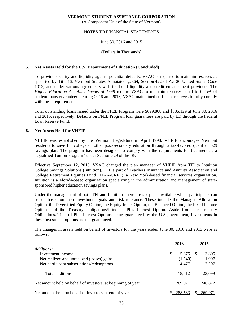(A Component Unit of the State of Vermont)

## NOTES TO FINANCIAL STATEMENTS

#### June 30, 2016 and 2015

#### (Dollars in Thousands)

#### **5. Net Assets Held for the U.S. Department of Education (Concluded)**

To provide security and liquidity against potential defaults, VSAC is required to maintain reserves as specified by Title 16, Vermont Statutes Annotated §2864, Section 422 of Act 20 United States Code 1072, and under various agreements with the bond liquidity and credit enhancement providers. The *Higher Education Act Amendments of 1998* require VSAC to maintain reserves equal to 0.25% of student loans guaranteed. During 2016 and 2015, VSAC maintained sufficient reserves to fully comply with these requirements.

Total outstanding loans issued under the FFEL Program were \$699,808 and \$835,129 at June 30, 2016 and 2015, respectively. Defaults on FFEL Program loan guarantees are paid by ED through the Federal Loan Reserve Fund.

#### **6. Net Assets Held for VHEIP**

VHEIP was established by the Vermont Legislature in April 1998. VHEIP encourages Vermont residents to save for college or other post-secondary education through a tax-favored qualified 529 savings plan. The program has been designed to comply with the requirements for treatment as a "Qualified Tuition Program" under Section 529 of the IRC.

Effective September 12, 2015, VSAC changed the plan manager of VHEIP from TFI to Intuition College Savings Solutions (Intuition). TFI is part of Teachers Insurance and Annuity Association and College Retirement Equities Fund (TIAA-CREF), a New York-based financial services organization. Intuition is a Florida-based organization specializing in the administration and management of statesponsored higher education savings plans.

Under the management of both TFI and Intuition, there are six plans available which participants can select, based on their investment goals and risk tolerance. These include the Managed Allocation Option, the Diversified Equity Option, the Equity Index Option, the Balanced Option, the Fixed Income Option, and the Treasury Obligations/Principal Plus Interest Option. Aside from the Treasury Obligations/Principal Plus Interest Options being guaranteed by the U.S government, investments in these investment options are not guaranteed.

The changes in assets held on behalf of investors for the years ended June 30, 2016 and 2015 were as follows:

|                                                              |   | 2016    |    | 2015    |
|--------------------------------------------------------------|---|---------|----|---------|
| Additions:                                                   |   |         |    |         |
| Investment income                                            | S | 5.675   | -S | 3,805   |
| Net realized and unrealized (losses) gains                   |   | (1,540) |    | 1,997   |
| Net participant subscriptions/redemptions                    |   | 14,477  |    | 17,297  |
| Total additions                                              |   | 18.612  |    | 23,099  |
| Net amount held on behalf of investors, at beginning of year |   | 269.971 |    | 246,872 |
| Net amount held on behalf of investors, at end of year       |   | 288.583 |    | 269.971 |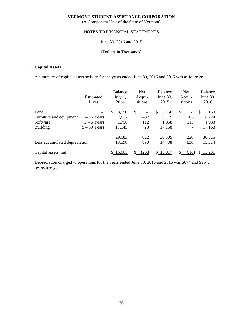(A Component Unit of the State of Vermont)

# NOTES TO FINANCIAL STATEMENTS

# June 30, 2016 and 2015

#### (Dollars in Thousands)

# **7. Capital Assets**

A summary of capital assets activity for the years ended June 30, 2016 and 2015 was as follows:

|                               | Estimated<br>Lives | Balance<br>July 1,<br>2014 | <b>Net</b><br>Acqui-<br>sitions | Balance<br>June $30$ ,<br>2015 | <b>Net</b><br>Acqui-<br>sitions | Balance<br>June 30,<br>2016 |
|-------------------------------|--------------------|----------------------------|---------------------------------|--------------------------------|---------------------------------|-----------------------------|
| Land                          |                    | \$<br>3,150                | \$<br>$\qquad \qquad -$         | \$<br>3,150                    | \$<br>$\overline{\phantom{a}}$  | \$<br>3,150                 |
| Furniture and equipment       | $3 - 15$ Years     | 7,632                      | 487                             | 8,119                          | 105                             | 8,224                       |
| Software                      | $3 - 5$ Years      | 1,756                      | 112                             | 1,868                          | 115                             | 1,983                       |
| <b>Building</b>               | $5 - 30$ Years     | 17,145                     | 23                              | 17,168                         |                                 | 17,168                      |
|                               |                    | 29,683                     | 622                             | 30,305                         | 220                             | 30,525                      |
| Less accumulated depreciation |                    | 13,598                     | 890                             | 14,488                         | 836                             | 15,324                      |
| Capital assets, net           |                    | \$16,085                   | (268)                           | \$15,817                       | (616)                           | \$15,201                    |

Depreciation charged to operations for the years ended June 30, 2016 and 2015 was \$874 and \$964, respectively.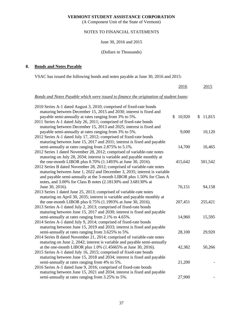(A Component Unit of the State of Vermont)

# NOTES TO FINANCIAL STATEMENTS

June 30, 2016 and 2015

(Dollars in Thousands)

# **8. Bonds and Notes Payable**

VSAC has issued the following bonds and notes payable at June 30, 2016 and 2015:

|                                                                                        | 2016                    | 2015         |
|----------------------------------------------------------------------------------------|-------------------------|--------------|
| Bonds and Notes Payable which were issued to finance the origination of student loans: |                         |              |
| 2010 Series A-1 dated August 3, 2010; comprised of fixed-rate bonds                    |                         |              |
| maturing between December 15, 2015 and 2030; interest is fixed and                     |                         |              |
| payable semi-annually at rates ranging from 3% to 5%.                                  | $\mathcal{S}$<br>10,920 | 11,815<br>\$ |
| 2011 Series A-1 dated July 26, 2011; comprised of fixed-rate bonds                     |                         |              |
| maturing between December 15, 2013 and 2025; interest is fixed and                     |                         |              |
| payable semi-annually at rates ranging from 3% to 5%.                                  | 9,000                   | 10,120       |
| 2012 Series A-1 dated July 17, 2012; comprised of fixed-rate bonds                     |                         |              |
| maturing between June 15, 2017 and 2031; interest is fixed and payable                 |                         |              |
| semi-annually at rates ranging from 2.875% to 5.1%.                                    | 14,700                  | 16,465       |
| 2012 Series 1 dated November 28, 2012; comprised of variable-rate notes                |                         |              |
| maturing on July 28, 2034; interest is variable and payable monthly at                 |                         |              |
| the one-month LIBOR plus 0.70% (1.1493% at June 30, 2016).                             | 415,642                 | 501,542      |
| 2012 Series B dated November 28, 2012; comprised of variable-rate notes                |                         |              |
| maturing between June 1, 2022 and December 3, 2035; interest is variable               |                         |              |
| and payable semi-annually at the 3-month LIBOR plus 1.50% for Class A                  |                         |              |
| notes, and 3.00% for Class B notes (2.18130% and 3.68130% at                           |                         |              |
| June 30, 2016).                                                                        | 76,151                  | 94,158       |
| 2013 Series 1 dated June 25, 2013; comprised of variable-rate notes                    |                         |              |
| maturing on April 30, 2035; interest is variable and payable monthly at                |                         |              |
| the one-month LIBOR plus 0.75% (1.1993% at June 30, 2016).                             | 207,451                 | 255,421      |
| 2013 Series A-1 dated July 2, 2013; comprised of fixed-rate bonds                      |                         |              |
| maturing between June 15, 2017 and 2030; interest is fixed and payable                 |                         |              |
| semi-annually at rates ranging from 2.1% to 4.65%.                                     | 14,960                  | 15,595       |
| 2014 Series A-1 dated July 9, 2014; comprised of fixed-rate bonds                      |                         |              |
| maturing between June 15, 2019 and 2033; interest is fixed and payable                 |                         |              |
| semi-annually at rates ranging from 3.625% to 5%.                                      | 28,100                  | 29,920       |
| 2014 Series B dated November 21, 2014; comprised of variable-rate notes                |                         |              |
| maturing on June 2, 2042; interest is variable and payable semi-annually               |                         |              |
| at the one-month LIBOR plus 1.0% (1.45665% at June 30, 2016).                          | 42,382                  | 50,266       |
| 2015 Series A-1 dated July 16, 2015; comprised of fixed-rate bonds                     |                         |              |
| maturing between June 15, 2018 and 2034; interest is fixed and payable                 |                         |              |
| semi-annually at rates ranging from 4% to 5%.                                          | 21,200                  |              |
| 2016 Series A-1 dated June 9, 2016; comprised of fixed-rate bonds                      |                         |              |
| maturing between June 15, 2021 and 2034; interest is fixed and payable                 |                         |              |
| semi-annually at rates ranging from 3.25% to 5%.                                       | 27,900                  |              |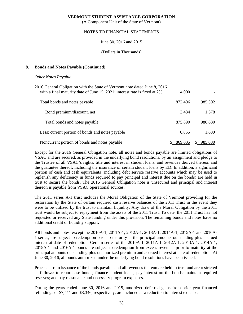(A Component Unit of the State of Vermont)

# NOTES TO FINANCIAL STATEMENTS

June 30, 2016 and 2015

(Dollars in Thousands)

#### **8. Bonds and Notes Payable (Continued)**

# *Other Notes Payable*

| 2016 General Obligation with the State of Vermont note dated June 8, 2016<br>with a final maturity date of June 15, 2021; interest rate is fixed at 2%. | 4.000   |         |
|---------------------------------------------------------------------------------------------------------------------------------------------------------|---------|---------|
| Total bonds and notes payable                                                                                                                           | 872,406 | 985,302 |
| Bond premium/discount, net                                                                                                                              | 3,484   | 1,378   |
| Total bonds and notes payable                                                                                                                           | 875,890 | 986,680 |
| Less: current portion of bonds and notes payable                                                                                                        | 6,855   | 1,600   |
| Noncurrent portion of bonds and notes payable                                                                                                           | 869,035 | 985,080 |

Except for the 2016 General Obligation note, all notes and bonds payable are limited obligations of VSAC and are secured, as provided in the underlying bond resolutions, by an assignment and pledge to the Trustee of all VSAC's rights, title and interest in student loans, and revenues derived thereon and the guarantee thereof, including the insurance of certain student loans by ED. In addition, a significant portion of cash and cash equivalents (including debt service reserve accounts which may be used to replenish any deficiency in funds required to pay principal and interest due on the bonds) are held in trust to secure the bonds. The 2016 General Obligation note is unsecured and principal and interest thereon is payable from VSAC operational sources.

The 2011 series A-1 trust includes the Moral Obligation of the State of Vermont providing for the restoration by the State of certain required cash reserve balances of the 2011 Trust in the event they were to be utilized by the trust to maintain liquidity. Any draw of the Moral Obligation by the 2011 trust would be subject to repayment from the assets of the 2011 Trust. To date, the 2011 Trust has not requested or received any State funding under this provision. The remaining bonds and notes have no additional credit or liquidity support.

All bonds and notes, except the 2010A-1, 2011A-1, 2012A-1, 2013A-1, 2014A-1, 2015A-1 and 2016A-1 series, are subject to redemption prior to maturity at the principal amounts outstanding plus accrued interest at date of redemption. Certain series of the 2010A-1, 2011A-1, 2012A-1, 2013A-1, 2014A-1, 2015A-1 and 2016A-1 bonds are subject to redemption from excess revenues prior to maturity at the principal amounts outstanding plus unamortized premium and accrued interest at date of redemption. At June 30, 2016, all bonds authorized under the underlying bond resolutions have been issued.

Proceeds from issuance of the bonds payable and all revenues thereon are held in trust and are restricted as follows: to repurchase bonds; finance student loans; pay interest on the bonds; maintain required reserves; and pay reasonable and necessary program expenses.

During the years ended June 30, 2016 and 2015, amortized deferred gains from prior year financed refundings of \$7,411 and \$8,346, respectively, are included as a reduction to interest expense.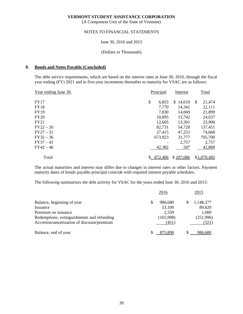(A Component Unit of the State of Vermont)

### NOTES TO FINANCIAL STATEMENTS

June 30, 2016 and 2015

(Dollars in Thousands)

#### **8. Bonds and Notes Payable (Concluded)**

The debt service requirements, which are based on the interest rates at June 30, 2016, through the fiscal year ending (FY) 2021 and in five-year increments thereafter to maturity for VSAC are as follows:

|             | Interest                        |              | Total       |
|-------------|---------------------------------|--------------|-------------|
| \$<br>6,855 | 14,619<br>S.                    | $\mathbb{S}$ | 21,474      |
| 7,770       | 14,341                          |              | 22,111      |
| 7,830       | 14,069                          |              | 21,899      |
| 10,895      | 13,742                          |              | 24,637      |
| 12,605      | 13,301                          |              | 25,906      |
| 82,731      | 54,720                          |              | 137,451     |
| 27,415      | 47,253                          |              | 74,668      |
|             | 31,777                          |              | 705,700     |
|             | 2,757                           |              | 2,757       |
| 42,382      | 507                             |              | 42,889      |
|             | \$207,086                       |              | \$1,079,492 |
|             | Principal<br>673,923<br>872,406 |              |             |

The actual maturities and interest may differ due to changes in interest rates or other factors. Payment maturity dates of bonds payable principal coincide with required interest payable schedules.

The following summarizes the debt activity for VSAC for the years ended June 30, 2016 and 2015:

|                                            | 2016      |     | 2015      |
|--------------------------------------------|-----------|-----|-----------|
| Balance, beginning of year                 | 986,680   | \$. | 1,148,377 |
| Issuance                                   | 53,100    |     | 89,620    |
| Premium on issuance                        | 2,559     |     | 1,000     |
| Redemptions, extinguishments and refunding | (165,998) |     | (251,996) |
| Accretion/amortization of discount/premium | (451)     |     | (321)     |
| Balance, end of year                       | 875.890   |     | 986.680   |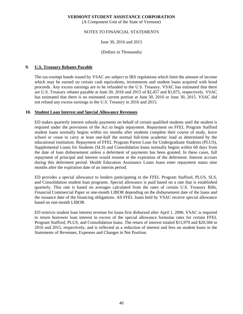(A Component Unit of the State of Vermont)

# NOTES TO FINANCIAL STATEMENTS

June 30, 2016 and 2015

(Dollars in Thousands)

## **9. U.S. Treasury Rebates Payable**

The tax-exempt bonds issued by VSAC are subject to IRS regulations which limit the amount of income which may be earned on certain cash equivalents, investments and student loans acquired with bond proceeds. Any excess earnings are to be refunded to the U.S. Treasury. VSAC has estimated that there are U.S. Treasury rebates payable at June 30, 2016 and 2015 of \$2,457 and \$1,875, respectively. VSAC has estimated that there is no estimated current portion at June 30, 2016 or June 30, 2015. VSAC did not refund any excess earnings to the U.S. Treasury in 2016 and 2015.

#### **10. Student Loan Interest and Special Allowance Revenues**

ED makes quarterly interest subsidy payments on behalf of certain qualified students until the student is required under the provisions of the Act to begin repayment. Repayment on FFEL Program Stafford student loans normally begins within six months after students complete their course of study, leave school or cease to carry at least one-half the normal full-time academic load as determined by the educational institution. Repayment of FFEL Program Parent Loan for Undergraduate Students (PLUS), Supplemental Loans for Students (SLS) and Consolidation loans normally begins within 60 days from the date of loan disbursement unless a deferment of payments has been granted. In these cases, full repayment of principal and interest would resume at the expiration of the deferment. Interest accrues during this deferment period. Health Education Assistance Loans loans enter repayment status nine months after the expiration date of an interim period.

ED provides a special allowance to lenders participating in the FFEL Program Stafford, PLUS, SLS, and Consolidation student loan programs. Special allowance is paid based on a rate that is established quarterly. This rate is based on averages calculated from the rates of certain U.S. Treasury Bills, Financial Commercial Paper or one-month LIBOR depending on the disbursement date of the loans and the issuance date of the financing obligations. All FFEL loans held by VSAC receive special allowance based on one-month LIBOR.

ED restricts student loan interest revenue for loans first disbursed after April 1, 2006. VSAC is required to return borrower loan interest in excess of the special allowance formulae rates for certain FFEL Program Stafford, PLUS, and Consolidation loans. The return of interest totaled \$15,970 and \$20,584 in 2016 and 2015, respectively, and is reflected as a reduction of interest and fees on student loans in the Statements of Revenues, Expenses and Changes in Net Position.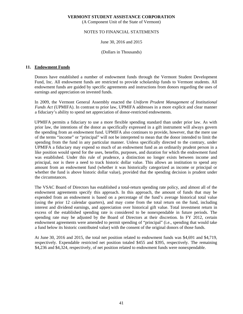(A Component Unit of the State of Vermont)

# NOTES TO FINANCIAL STATEMENTS

June 30, 2016 and 2015

(Dollars in Thousands)

## **11. Endowment Funds**

Donors have established a number of endowment funds through the Vermont Student Development Fund, Inc. All endowment funds are restricted to provide scholarship funds to Vermont students. All endowment funds are guided by specific agreements and instructions from donors regarding the uses of earnings and appreciation on invested funds.

In 2009, the Vermont General Assembly enacted the *Uniform Prudent Management of Institutional Funds Act* (UPMIFA). In contrast to prior law, UPMIFA addresses in a more explicit and clear manner a fiduciary's ability to spend net appreciation of donor-restricted endowments.

UPMIFA permits a fiduciary to use a more flexible spending standard than under prior law. As with prior law, the intentions of the donor as specifically expressed in a gift instrument will always govern the spending from an endowment fund. UPMIFA also continues to provide, however, that the mere use of the terms "income" or "principal" will not be interpreted to mean that the donor intended to limit the spending from the fund in any particular manner. Unless specifically directed to the contrary, under UPMIFA a fiduciary may expend so much of an endowment fund as an ordinarily prudent person in a like position would spend for the uses, benefits, purposes, and duration for which the endowment fund was established. Under this rule of prudence, a distinction no longer exists between income and principal, nor is there a need to track historic dollar value. This allows an institution to spend any amount from an endowment fund (whether it was historically categorized as income or principal or whether the fund is above historic dollar value), provided that the spending decision is prudent under the circumstances.

The VSAC Board of Directors has established a total-return spending rate policy, and almost all of the endowment agreements specify this approach. In this approach, the amount of funds that may be expended from an endowment is based on a percentage of the fund's average historical total value (using the prior 12 calendar quarters), and may come from the total return on the fund, including interest and dividend earnings, and appreciation over historical gift value. Total investment return in excess of the established spending rate is considered to be nonexpendable in future periods. The spending rate may be adjusted by the Board of Directors at their discretion. In FY 2012, certain endowment agreements were amended to permit spending of "principal" (i.e., spending that would take a fund below its historic contributed value) with the consent of the original donors of those funds.

At June 30, 2016 and 2015, the total net position related to endowment funds was \$4,691 and \$4,719, respectively. Expendable restricted net position totaled \$455 and \$395, respectively. The remaining \$4,236 and \$4,324, respectively, of net position related to endowment funds were nonexpendable.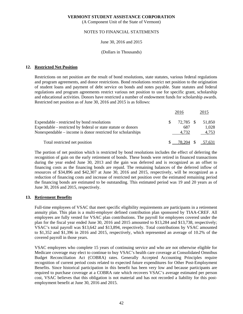(A Component Unit of the State of Vermont)

# NOTES TO FINANCIAL STATEMENTS

#### June 30, 2016 and 2015

#### (Dollars in Thousands)

#### **12. Restricted Net Position**

Restrictions on net position are the result of bond resolutions, state statutes, various federal regulations and program agreements, and donor restrictions. Bond resolutions restrict net position to the origination of student loans and payment of debt service on bonds and notes payable. State statutes and federal regulations and program agreements restrict various net position to use for specific grant, scholarship and educational activities. Donors have restricted a number of endowment funds for scholarship awards. Restricted net position as of June 30, 2016 and 2015 is as follows:

|                                                               |    | 2016  | 2015                   |  |  |
|---------------------------------------------------------------|----|-------|------------------------|--|--|
| Expendable - restricted by bond resolutions                   | S. |       | 72,785 \$ 51,850       |  |  |
| Expendable - restricted by federal or state statute or donors |    | 687   | 1,028                  |  |  |
| Nonexpendable – income is donor restricted for scholarships   |    | 4.732 | 4,753                  |  |  |
| Total restricted net position                                 |    |       | $$ -78,204 \$ -57,631$ |  |  |

The portion of net position which is restricted by bond resolutions includes the effect of deferring the recognition of gain on the early retirement of bonds. These bonds were retired in financed transactions during the year ended June 30, 2013 and the gain was deferred and is recognized as an offset to financing costs as the financing bonds are repaid. The remaining balances of the deferred inflow of resources of \$34,896 and \$42,307 at June 30, 2016 and 2015, respectively, will be recognized as a reduction of financing costs and increase of restricted net position over the estimated remaining period the financing bonds are estimated to be outstanding. This estimated period was 19 and 20 years as of June 30, 2016 and 2015, respectively.

#### **13. Retirement Benefits**

Full-time employees of VSAC that meet specific eligibility requirements are participants in a retirement annuity plan. This plan is a multi-employer defined contribution plan sponsored by TIAA-CREF. All employees are fully vested for VSAC plan contributions. The payroll for employees covered under the plan for the fiscal year ended June 30, 2016 and 2015 amounted to \$13,284 and \$13,738, respectively; VSAC's total payroll was \$13,642 and \$13,894, respectively. Total contributions by VSAC amounted to \$1,352 and \$1,396 in 2016 and 2015, respectively, which represented an average of 10.2% of the covered payroll in those years.

VSAC employees who complete 15 years of continuing service and who are not otherwise eligible for Medicare coverage may elect to continue to buy VSAC's health care coverage at Consolidated Omnibus Budget Reconciliation Act (COBRA) rates. Generally Accepted Accounting Principles require recognition of current period costs related to expected future expenditures for Other Post-Employment Benefits. Since historical participation in this benefit has been very low and because participants are required to purchase coverage at a COBRA rate which recovers VSAC's average estimated per person cost, VSAC believes that this obligation is not material and has not recorded a liability for this postemployment benefit at June 30, 2016 and 2015.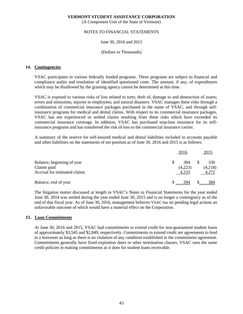(A Component Unit of the State of Vermont)

# NOTES TO FINANCIAL STATEMENTS

#### June 30, 2016 and 2015

#### (Dollars in Thousands)

#### **14. Contingencies**

VSAC participates in various federally funded programs. These programs are subject to financial and compliance audits and resolution of identified questioned costs. The amount, if any, of expenditures which may be disallowed by the granting agency cannot be determined at this time.

VSAC is exposed to various risks of loss related to torts; theft of, damage to and destruction of assets; errors and omissions; injuries to employees; and natural disasters. VSAC manages these risks through a combination of commercial insurance packages purchased in the name of VSAC, and through selfinsurance programs for medical and dental claims. With respect to its commercial insurance packages, VSAC has not experienced or settled claims resulting from these risks which have exceeded its commercial insurance coverage. In addition, VSAC has purchased stop-loss insurance for its selfinsurance programs and has transferred the risk of loss to the commercial insurance carrier.

A summary of the reserve for self-insured medical and dental liabilities included in accounts payable and other liabilities on the statements of net position as of June 30, 2016 and 2015 is as follows:

|                                           | 2016           | 2015           |  |
|-------------------------------------------|----------------|----------------|--|
| Balance, beginning of year<br>Claims paid | 384<br>(4,223) | 330<br>(4,218) |  |
| Accrual for estimated claims              | 4.233          | 4,272          |  |
| Balance, end of year                      | 394            | 384            |  |

The litigation matter discussed at length in VSAC's Notes to Financial Statements for the year ended June 30, 2014 was settled during the year ended June 30, 2015 and is no longer a contingency as of the end of that fiscal year. As of June 30, 2016, management believes VSAC has no pending legal actions an unfavorable outcome of which would have a material effect on the Corporation.

#### **15. Loan Commitments**

At June 30, 2016 and 2015, VSAC had commitments to extend credit for non-guaranteed student loans of approximately \$3,545 and \$2,849, respectively. Commitments to extend credit are agreements to lend to a borrower as long as there is no violation of any condition established in the commitment agreement. Commitments generally have fixed expiration dates or other termination clauses. VSAC uses the same credit policies in making commitments as it does for student loans receivable.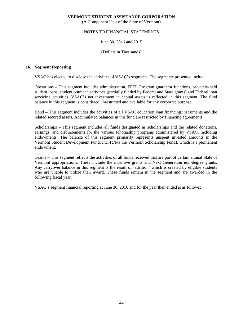(A Component Unit of the State of Vermont)

## NOTES TO FINANCIAL STATEMENTS

June 30, 2016 and 2015

(Dollars in Thousands)

#### **16. Segment Reporting**

VSAC has elected to disclose the activities of VSAC's segments. The segments presented include:

Operations – This segment includes administration, FFEL Program guarantor functions, privately-held student loans, student outreach activities (partially funded by Federal and State grants) and Federal loan servicing activities. VSAC's net investment in capital assets is reflected in this segment. The fund balance in this segment is considered unrestricted and available for any corporate purpose.

Bond – This segment includes the activities of all VSAC education loan financing instruments and the related secured assets. Accumulated balances in this fund are restricted by financing agreements.

Scholarships – This segment includes all funds designated as scholarships and the related donations, earnings, and disbursements for the various scholarship programs administered by VSAC, including endowments. The balance of this segment primarily represents unspent invested amounts in the Vermont Student Development Fund, Inc. (d/b/a the Vermont Scholarship Fund), which is a permanent endowment.

Grants – This segment reflects the activities of all funds received that are part of certain annual State of Vermont appropriations. These include the incentive grants and Next Generation non-degree grants. Any carryover balance in this segment is the result of 'attrition' which is created by eligible students who are unable to utilize their award. These funds remain in the segment and are awarded in the following fiscal year.

VSAC's segment financial reporting at June 30, 2016 and for the year then ended is as follows: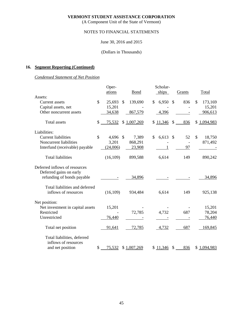(A Component Unit of the State of Vermont)

# NOTES TO FINANCIAL STATEMENTS

# June 30, 2016 and 2015

# (Dollars in Thousands)

# **16. Segment Reporting (Continued)**

# *Condensed Statement of Net Position*

|                                  | Oper-          |                          | Scholar-     |                     |               |
|----------------------------------|----------------|--------------------------|--------------|---------------------|---------------|
|                                  | ations         | Bond                     | ships        | Grants              | Total         |
| Assets:                          |                |                          |              |                     |               |
| Current assets                   | \$<br>25,693   | 139,690<br>$\mathcal{S}$ | 6,950<br>\$  | 836<br>$\mathbb{S}$ | \$<br>173,169 |
| Capital assets, net              | 15,201         |                          |              |                     | 15,201        |
| Other noncurrent assets          | 34,638         | 867,579                  | 4,396        |                     | 906,613       |
| <b>Total</b> assets              | \$<br>75,532   | \$1,007,269              | \$11,346     | \$<br>836           | \$1,094,983   |
| Liabilities:                     |                |                          |              |                     |               |
| <b>Current liabilities</b>       | \$<br>4,696 \$ | 7,389                    | \$<br>6,613  | 52<br><sup>\$</sup> | \$<br>18,750  |
| Noncurrent liabilities           | 3,201          | 868,291                  |              |                     | 871,492       |
| Interfund (receivable) payable   | (24,006)       | 23,908                   | $\mathbf{1}$ | 97                  |               |
| <b>Total liabilities</b>         | (16, 109)      | 899,588                  | 6,614        | 149                 | 890,242       |
| Deferred inflows of resources    |                |                          |              |                     |               |
| Deferred gains on early          |                |                          |              |                     |               |
| refunding of bonds payable       |                | 34,896                   |              |                     | 34,896        |
| Total liabilities and deferred   |                |                          |              |                     |               |
| inflows of resources             | (16, 109)      | 934,484                  | 6,614        | 149                 | 925,138       |
| Net position:                    |                |                          |              |                     |               |
| Net investment in capital assets | 15,201         |                          |              |                     | 15,201        |
| Restricted                       |                | 72,785                   | 4,732        | 687                 | 78,204        |
| Unrestricted                     | 76,440         |                          |              |                     | 76,440        |
| Total net position               | 91,641         | 72,785                   | 4,732        | 687                 | 169,845       |
| Total liabilities, deferred      |                |                          |              |                     |               |
| inflows of resources             |                |                          |              |                     |               |
| and net position                 | \$<br>75,532   | \$1,007,269              | \$11,346     | \$<br>836           | \$1,094,983   |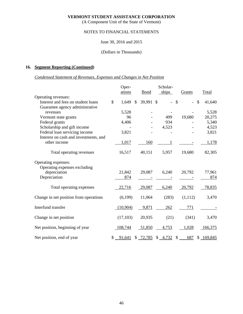(A Component Unit of the State of Vermont)

# NOTES TO FINANCIAL STATEMENTS

# June 30, 2016 and 2015

#### (Dollars in Thousands)

# **16. Segment Reporting (Continued)**

# *Condensed Statement of Revenues, Expenses and Changes in Net Position*

|                                                                     |              | Oper-     | Scholar-      |             |  |         |               |         |               |
|---------------------------------------------------------------------|--------------|-----------|---------------|-------------|--|---------|---------------|---------|---------------|
|                                                                     |              | ations    |               | <b>Bond</b> |  | ships   |               | Grants  | Total         |
| Operating revenues:                                                 |              |           |               |             |  |         |               |         |               |
| Interest and fees on student loans                                  | $\mathbb{S}$ | 1,649     | $\mathcal{S}$ | 39,991 \$   |  |         | $\mathcal{S}$ |         | \$<br>41,640  |
| Guarantee agency administrative                                     |              |           |               |             |  |         |               |         |               |
| revenues                                                            |              | 5,528     |               |             |  |         |               |         | 5,528         |
| Vermont state grants                                                |              | 96        |               |             |  | 499     |               | 19,680  | 20,275        |
| Federal grants                                                      |              | 4,406     |               |             |  | 934     |               |         | 5,340         |
| Scholarship and gift income                                         |              |           |               |             |  | 4,523   |               |         | 4,523         |
| Federal loan servicing income                                       |              | 3,821     |               |             |  |         |               |         | 3,821         |
| Interest on cash and investments, and                               |              |           |               |             |  |         |               |         |               |
| other income                                                        |              | 1,017     |               | 160         |  |         |               |         | 1,178         |
| Total operating revenues                                            |              | 16,517    |               | 40,151      |  | 5,957   |               | 19,680  | 82,305        |
| Operating expenses:<br>Operating expenses excluding<br>depreciation |              | 21,842    |               | 29,087      |  | 6,240   |               | 20,792  | 77,961        |
| Depreciation                                                        |              | 874       |               |             |  |         |               |         | 874           |
| Total operating expenses                                            |              | 22,716    |               | 29,087      |  | 6,240   |               | 20,792  | 78,835        |
| Change in net position from operations                              |              | (6,199)   |               | 11,064      |  | (283)   |               | (1,112) | 3,470         |
| Interfund transfer                                                  |              | (10,904)  |               | 9,871       |  | 262     |               | 771     |               |
| Change in net position                                              |              | (17, 103) |               | 20,935      |  | (21)    |               | (341)   | 3,470         |
| Net position, beginning of year                                     |              | 108,744   |               | 51,850      |  | 4,753   |               | 1,028   | 166,375       |
| Net position, end of year                                           |              | 91,641    |               | \$ 72,785   |  | \$4,732 | $\mathcal{S}$ | 687     | \$<br>169,845 |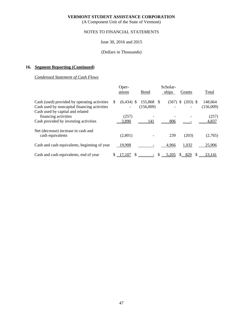(A Component Unit of the State of Vermont)

# NOTES TO FINANCIAL STATEMENTS

# June 30, 2016 and 2015

# (Dollars in Thousands)

# **16. Segment Reporting (Continued)**

# *Condensed Statement of Cash Flows*

|                                                                                                                                  |    | Oper-          | Scholar-             |    |       |                  |  |                      |
|----------------------------------------------------------------------------------------------------------------------------------|----|----------------|----------------------|----|-------|------------------|--|----------------------|
|                                                                                                                                  |    | ations         | Bond                 |    | ships | Grants           |  | Total                |
| Cash (used) provided by operating activities<br>Cash used by noncapital financing activities<br>Cash used by capital and related | S  | $(6,434)$ \$   | 155,868<br>(156,009) |    | (567) | -S<br>$(203)$ \$ |  | 148,664<br>(156,009) |
| financing activities<br>Cash provided by investing activities                                                                    |    | (257)<br>3,890 | 141                  |    | 806   |                  |  | (257)<br>4,837       |
| Net (decrease) increase in cash and<br>cash equivalents                                                                          |    | (2,801)        |                      |    | 239   | (203)            |  | (2,765)              |
| Cash and cash equivalents, beginning of year                                                                                     |    | 19,908         |                      |    | 4,966 | 1,032            |  | 25,906               |
| Cash and cash equivalents, end of year                                                                                           | S. | 17,107         |                      | -S | 5,205 | 829<br>S.        |  | 23,141               |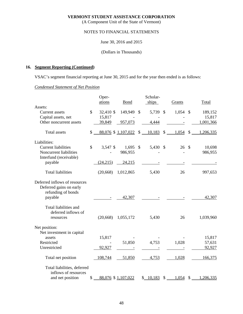(A Component Unit of the State of Vermont)

# NOTES TO FINANCIAL STATEMENTS

June 30, 2016 and 2015

(Dollars in Thousands)

# **16. Segment Reporting (Continued)**

VSAC's segment financial reporting at June 30, 2015 and for the year then ended is as follows:

# *Condensed Statement of Net Position*

|                                                                                | Oper-           |                    | Scholar-     |                           |        |                           |           |
|--------------------------------------------------------------------------------|-----------------|--------------------|--------------|---------------------------|--------|---------------------------|-----------|
| Assets:                                                                        | ations          | <b>Bond</b>        | ships        |                           | Grants |                           | Total     |
| Current assets                                                                 | \$<br>32,410 \$ | 149,949            | \$<br>5,739  | $\boldsymbol{\mathsf{S}}$ | 1,054  | $\mathcal{S}$             | 189,152   |
| Capital assets, net                                                            | 15,817          |                    |              |                           |        |                           | 15,817    |
| Other noncurrent assets                                                        | 39,849          | 957,073            | 4,444        |                           |        |                           | 1,001,366 |
|                                                                                |                 |                    |              |                           |        |                           |           |
| <b>Total assets</b>                                                            | \$              | 88,076 \$1,107,022 | \$<br>10,183 | $\boldsymbol{\mathsf{S}}$ | 1,054  | $\boldsymbol{\mathsf{S}}$ | 1,206,335 |
| Liabilities:                                                                   |                 |                    |              |                           |        |                           |           |
| <b>Current liabilities</b>                                                     | \$<br>3,547 \$  | 1,695              | \$<br>5,430  | $\mathcal{S}$             | 26     | $\mathcal{S}$             | 10,698    |
| Noncurrent liabilities                                                         |                 | 986,955            |              |                           |        |                           | 986,955   |
| Interfund (receivable)                                                         |                 |                    |              |                           |        |                           |           |
| payable                                                                        | (24,215)        | 24,215             |              |                           |        |                           |           |
| <b>Total liabilities</b>                                                       | (20, 668)       | 1,012,865          | 5,430        |                           | 26     |                           | 997,653   |
| Deferred inflows of resources<br>Deferred gains on early<br>refunding of bonds |                 |                    |              |                           |        |                           |           |
| payable                                                                        |                 | 42,307             |              |                           |        |                           | 42,307    |
| Total liabilities and<br>deferred inflows of<br>resources                      | (20, 668)       | 1,055,172          | 5,430        |                           | 26     |                           | 1,039,960 |
| Net position:                                                                  |                 |                    |              |                           |        |                           |           |
| Net investment in capital                                                      |                 |                    |              |                           |        |                           |           |
| assets                                                                         | 15,817          |                    |              |                           |        |                           | 15,817    |
| Restricted                                                                     |                 | 51,850             | 4,753        |                           | 1,028  |                           | 57,631    |
| Unrestricted                                                                   | 92,927          |                    |              |                           |        |                           | 92,927    |
| Total net position                                                             | 108,744         | 51,850             | 4,753        |                           | 1,028  |                           | 166,375   |
| Total liabilities, deferred<br>inflows of resources                            |                 |                    |              |                           |        |                           |           |
| and net position                                                               | \$              | 88,076 \$1,107,022 | \$<br>10.183 | \$                        | 1,054  | $\sqrt{3}$                | 1,206,335 |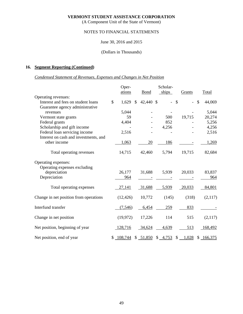(A Component Unit of the State of Vermont)

# NOTES TO FINANCIAL STATEMENTS

# June 30, 2016 and 2015

### (Dollars in Thousands)

# **16. Segment Reporting (Continued)**

# *Condensed Statement of Revenues, Expenses and Changes in Net Position*

|                                        | Oper-       | Scholar-        |  |            |               |        |               |           |
|----------------------------------------|-------------|-----------------|--|------------|---------------|--------|---------------|-----------|
|                                        | ations      | <b>Bond</b>     |  | ships      |               | Grants |               | Total     |
| Operating revenues:                    |             |                 |  |            |               |        |               |           |
| Interest and fees on student loans     | \$<br>1,629 | \$<br>42,440 \$ |  |            | $\mathcal{S}$ |        | $\mathcal{S}$ | 44,069    |
| Guarantee agency administrative        |             |                 |  |            |               |        |               |           |
| revenues                               | 5,044       |                 |  |            |               |        |               | 5,044     |
| Vermont state grants                   | 59          |                 |  | 500        |               | 19,715 |               | 20,274    |
| Federal grants                         | 4,404       |                 |  | 852        |               |        |               | 5,256     |
| Scholarship and gift income            |             |                 |  | 4,256      |               |        |               | 4,256     |
| Federal loan servicing income          | 2,516       |                 |  |            |               |        |               | 2,516     |
| Interest on cash and investments, and  |             |                 |  |            |               |        |               |           |
| other income                           | 1,063       | 20              |  | 186        |               |        |               | 1,269     |
|                                        |             |                 |  |            |               |        |               |           |
| Total operating revenues               | 14,715      | 42,460          |  | 5,794      |               | 19,715 |               | 82,684    |
| Operating expenses:                    |             |                 |  |            |               |        |               |           |
| Operating expenses excluding           |             |                 |  |            |               |        |               |           |
| depreciation                           | 26,177      | 31,688          |  | 5,939      |               | 20,033 |               | 83,837    |
| Depreciation                           | 964         |                 |  |            |               |        |               | 964       |
|                                        |             |                 |  |            |               |        |               |           |
| Total operating expenses               | 27,141      | 31,688          |  | 5,939      |               | 20,033 |               | 84,801    |
|                                        |             |                 |  |            |               |        |               |           |
| Change in net position from operations | (12, 426)   | 10,772          |  | (145)      |               | (318)  |               | (2,117)   |
|                                        |             |                 |  |            |               |        |               |           |
| Interfund transfer                     | (7,546)     | 6,454           |  | 259        |               | 833    |               |           |
| Change in net position                 | (19,972)    | 17,226          |  | 114        |               | 515    |               | (2,117)   |
|                                        |             |                 |  |            |               |        |               |           |
| Net position, beginning of year        | 128,716     | 34,624          |  | 4,639      |               | 513    |               | 168,492   |
|                                        |             |                 |  |            |               |        |               |           |
| Net position, end of year              | \$108,744   | \$ 51,850       |  | $$ -4,753$ | \$            | 1,028  |               | \$166,375 |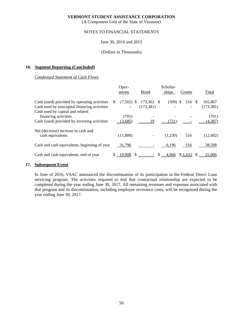(A Component Unit of the State of Vermont)

# NOTES TO FINANCIAL STATEMENTS

#### June 30, 2016 and 2015

#### (Dollars in Thousands)

## **16. Segment Reporting (Concluded)**

# *Condensed Statement of Cash Flows*

|                                                                                                                                  |    | Oper-            | Scholar-              |      |            |         |                       |
|----------------------------------------------------------------------------------------------------------------------------------|----|------------------|-----------------------|------|------------|---------|-----------------------|
|                                                                                                                                  |    | ations           | Bond                  |      | ships      | Grants  | Total                 |
| Cash (used) provided by operating activities<br>Cash used by noncapital financing activities<br>Cash used by capital and related | S  | $(7,502)$ \$     | 173,362<br>(173, 381) | - \$ | $(509)$ \$ | 516 \$  | 165,867<br>(173, 381) |
| financing activities<br>Cash (used) provided by investing activities                                                             |    | (701)<br>(3,685) | 19                    |      | (721)      |         | (701)<br>(4, 387)     |
| Net (decrease) increase in cash and<br>cash equivalents                                                                          |    | (11,888)         |                       |      | (1,230)    | 516     | (12,602)              |
| Cash and cash equivalents, beginning of year                                                                                     |    | 31,796           |                       |      | 6,196      | 516     | 38,508                |
| Cash and cash equivalents, end of year                                                                                           | S. | 19,908           |                       |      | 4,966      | \$1,032 | 25,906                |

#### **17. Subsequent Event**

In June of 2016, VSAC announced the discontinuation of its participation in the Federal Direct Loan servicing program. The activities required to end that contractual relationship are expected to be completed during the year ending June 30, 2017. All remaining revenues and expenses associated with that program and its discontinuation, including employee severance costs, will be recognized during the year ending June 30, 2017.